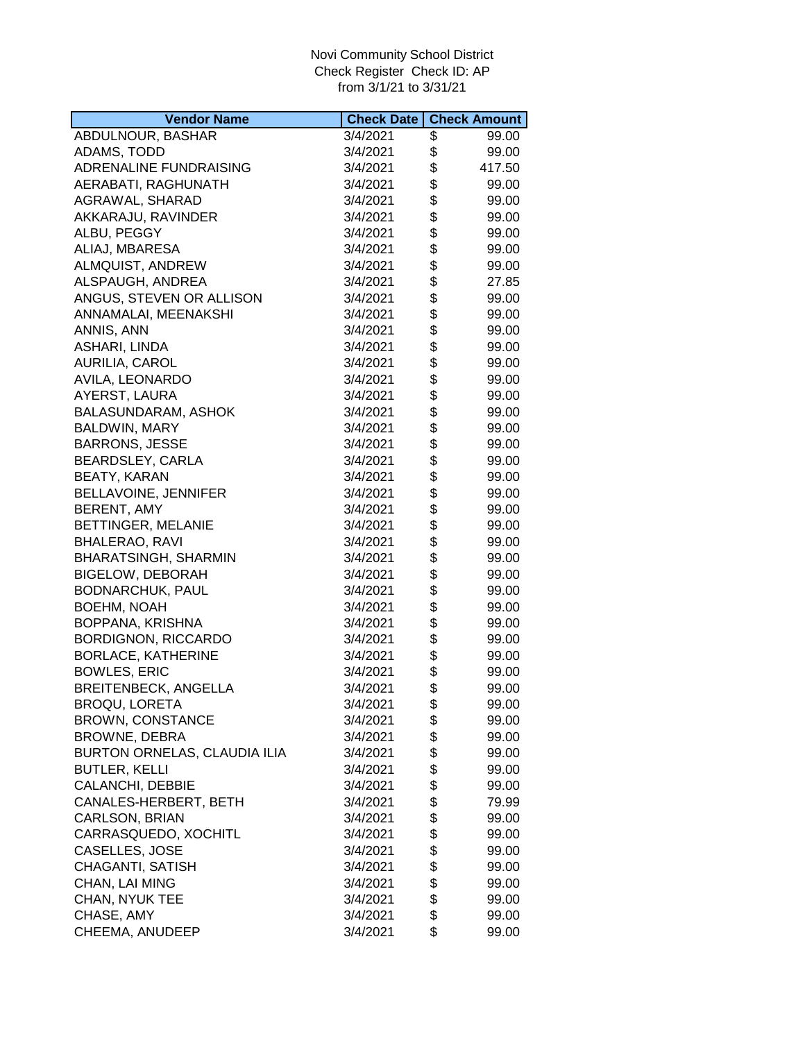# Novi Community School District Check Register Check ID: AP from 3/1/21 to 3/31/21

| \$<br>ABDULNOUR, BASHAR<br>3/4/2021<br>99.00<br>\$<br>ADAMS, TODD<br>3/4/2021<br>99.00<br>\$<br>ADRENALINE FUNDRAISING<br>3/4/2021<br>417.50<br>\$<br>AERABATI, RAGHUNATH<br>3/4/2021<br>99.00<br>\$<br>AGRAWAL, SHARAD<br>3/4/2021<br>99.00<br>\$<br>AKKARAJU, RAVINDER<br>3/4/2021<br>99.00<br>\$<br>ALBU, PEGGY<br>3/4/2021<br>99.00<br>\$<br>ALIAJ, MBARESA<br>3/4/2021<br>99.00<br>\$<br>ALMQUIST, ANDREW<br>3/4/2021<br>99.00<br>\$<br>ALSPAUGH, ANDREA<br>3/4/2021<br>27.85<br>\$<br>ANGUS, STEVEN OR ALLISON<br>3/4/2021<br>99.00<br>\$<br>ANNAMALAI, MEENAKSHI<br>3/4/2021<br>99.00<br>\$<br>ANNIS, ANN<br>3/4/2021<br>99.00<br>\$<br>ASHARI, LINDA<br>3/4/2021<br>99.00<br>\$<br>AURILIA, CAROL<br>3/4/2021<br>99.00<br>\$<br>AVILA, LEONARDO<br>3/4/2021<br>99.00<br>\$<br>AYERST, LAURA<br>3/4/2021<br>99.00<br>\$<br>BALASUNDARAM, ASHOK<br>3/4/2021<br>99.00<br>\$<br>BALDWIN, MARY<br>3/4/2021<br>99.00<br>\$<br><b>BARRONS, JESSE</b><br>3/4/2021<br>99.00<br>\$<br>BEARDSLEY, CARLA<br>3/4/2021<br>99.00<br>\$<br><b>BEATY, KARAN</b><br>3/4/2021<br>99.00<br>\$<br>BELLAVOINE, JENNIFER<br>3/4/2021<br>99.00<br>\$<br>BERENT, AMY<br>3/4/2021<br>99.00<br>\$<br>BETTINGER, MELANIE<br>3/4/2021<br>99.00<br>\$<br><b>BHALERAO, RAVI</b><br>3/4/2021<br>99.00<br>\$<br><b>BHARATSINGH, SHARMIN</b><br>3/4/2021<br>99.00<br>\$<br><b>BIGELOW, DEBORAH</b><br>3/4/2021<br>99.00<br>\$<br><b>BODNARCHUK, PAUL</b><br>3/4/2021<br>99.00<br>\$<br><b>BOEHM, NOAH</b><br>3/4/2021<br>99.00<br>\$<br>BOPPANA, KRISHNA<br>3/4/2021<br>99.00<br>\$<br><b>BORDIGNON, RICCARDO</b><br>3/4/2021<br>99.00<br>\$<br><b>BORLACE, KATHERINE</b><br>3/4/2021<br>99.00<br>\$<br><b>BOWLES, ERIC</b><br>3/4/2021<br>99.00<br>\$<br><b>BREITENBECK, ANGELLA</b><br>3/4/2021<br>99.00<br>3/4/2021<br>99.00<br><b>BROQU, LORETA</b><br>Φ<br>\$<br><b>BROWN, CONSTANCE</b><br>3/4/2021<br>99.00<br>\$<br><b>BROWNE, DEBRA</b><br>3/4/2021<br>99.00<br>\$<br>BURTON ORNELAS, CLAUDIA ILIA<br>3/4/2021<br>99.00<br>\$<br><b>BUTLER, KELLI</b><br>3/4/2021<br>99.00<br>\$<br>CALANCHI, DEBBIE<br>3/4/2021<br>99.00<br>\$<br>CANALES-HERBERT, BETH<br>3/4/2021<br>79.99<br>\$<br>CARLSON, BRIAN<br>3/4/2021<br>99.00<br>\$<br>CARRASQUEDO, XOCHITL<br>3/4/2021<br>99.00<br>\$<br>CASELLES, JOSE<br>3/4/2021<br>99.00<br>\$<br>CHAGANTI, SATISH<br>3/4/2021<br>99.00<br>\$<br>CHAN, LAI MING<br>3/4/2021<br>99.00<br>\$<br>CHAN, NYUK TEE<br>3/4/2021<br>99.00<br>\$<br>CHASE, AMY<br>3/4/2021<br>99.00 | <b>Vendor Name</b> | <b>Check Date</b> | <b>Check Amount</b> |
|---------------------------------------------------------------------------------------------------------------------------------------------------------------------------------------------------------------------------------------------------------------------------------------------------------------------------------------------------------------------------------------------------------------------------------------------------------------------------------------------------------------------------------------------------------------------------------------------------------------------------------------------------------------------------------------------------------------------------------------------------------------------------------------------------------------------------------------------------------------------------------------------------------------------------------------------------------------------------------------------------------------------------------------------------------------------------------------------------------------------------------------------------------------------------------------------------------------------------------------------------------------------------------------------------------------------------------------------------------------------------------------------------------------------------------------------------------------------------------------------------------------------------------------------------------------------------------------------------------------------------------------------------------------------------------------------------------------------------------------------------------------------------------------------------------------------------------------------------------------------------------------------------------------------------------------------------------------------------------------------------------------------------------------------------------------------------------------------------------------------------------------------------------------------------------------------------------------------------------------------------------------------------------------------------------------------------------------------------------------------------------------------------------------------------------------------------------------------------------------------|--------------------|-------------------|---------------------|
|                                                                                                                                                                                                                                                                                                                                                                                                                                                                                                                                                                                                                                                                                                                                                                                                                                                                                                                                                                                                                                                                                                                                                                                                                                                                                                                                                                                                                                                                                                                                                                                                                                                                                                                                                                                                                                                                                                                                                                                                                                                                                                                                                                                                                                                                                                                                                                                                                                                                                             |                    |                   |                     |
|                                                                                                                                                                                                                                                                                                                                                                                                                                                                                                                                                                                                                                                                                                                                                                                                                                                                                                                                                                                                                                                                                                                                                                                                                                                                                                                                                                                                                                                                                                                                                                                                                                                                                                                                                                                                                                                                                                                                                                                                                                                                                                                                                                                                                                                                                                                                                                                                                                                                                             |                    |                   |                     |
|                                                                                                                                                                                                                                                                                                                                                                                                                                                                                                                                                                                                                                                                                                                                                                                                                                                                                                                                                                                                                                                                                                                                                                                                                                                                                                                                                                                                                                                                                                                                                                                                                                                                                                                                                                                                                                                                                                                                                                                                                                                                                                                                                                                                                                                                                                                                                                                                                                                                                             |                    |                   |                     |
|                                                                                                                                                                                                                                                                                                                                                                                                                                                                                                                                                                                                                                                                                                                                                                                                                                                                                                                                                                                                                                                                                                                                                                                                                                                                                                                                                                                                                                                                                                                                                                                                                                                                                                                                                                                                                                                                                                                                                                                                                                                                                                                                                                                                                                                                                                                                                                                                                                                                                             |                    |                   |                     |
|                                                                                                                                                                                                                                                                                                                                                                                                                                                                                                                                                                                                                                                                                                                                                                                                                                                                                                                                                                                                                                                                                                                                                                                                                                                                                                                                                                                                                                                                                                                                                                                                                                                                                                                                                                                                                                                                                                                                                                                                                                                                                                                                                                                                                                                                                                                                                                                                                                                                                             |                    |                   |                     |
|                                                                                                                                                                                                                                                                                                                                                                                                                                                                                                                                                                                                                                                                                                                                                                                                                                                                                                                                                                                                                                                                                                                                                                                                                                                                                                                                                                                                                                                                                                                                                                                                                                                                                                                                                                                                                                                                                                                                                                                                                                                                                                                                                                                                                                                                                                                                                                                                                                                                                             |                    |                   |                     |
|                                                                                                                                                                                                                                                                                                                                                                                                                                                                                                                                                                                                                                                                                                                                                                                                                                                                                                                                                                                                                                                                                                                                                                                                                                                                                                                                                                                                                                                                                                                                                                                                                                                                                                                                                                                                                                                                                                                                                                                                                                                                                                                                                                                                                                                                                                                                                                                                                                                                                             |                    |                   |                     |
|                                                                                                                                                                                                                                                                                                                                                                                                                                                                                                                                                                                                                                                                                                                                                                                                                                                                                                                                                                                                                                                                                                                                                                                                                                                                                                                                                                                                                                                                                                                                                                                                                                                                                                                                                                                                                                                                                                                                                                                                                                                                                                                                                                                                                                                                                                                                                                                                                                                                                             |                    |                   |                     |
|                                                                                                                                                                                                                                                                                                                                                                                                                                                                                                                                                                                                                                                                                                                                                                                                                                                                                                                                                                                                                                                                                                                                                                                                                                                                                                                                                                                                                                                                                                                                                                                                                                                                                                                                                                                                                                                                                                                                                                                                                                                                                                                                                                                                                                                                                                                                                                                                                                                                                             |                    |                   |                     |
|                                                                                                                                                                                                                                                                                                                                                                                                                                                                                                                                                                                                                                                                                                                                                                                                                                                                                                                                                                                                                                                                                                                                                                                                                                                                                                                                                                                                                                                                                                                                                                                                                                                                                                                                                                                                                                                                                                                                                                                                                                                                                                                                                                                                                                                                                                                                                                                                                                                                                             |                    |                   |                     |
|                                                                                                                                                                                                                                                                                                                                                                                                                                                                                                                                                                                                                                                                                                                                                                                                                                                                                                                                                                                                                                                                                                                                                                                                                                                                                                                                                                                                                                                                                                                                                                                                                                                                                                                                                                                                                                                                                                                                                                                                                                                                                                                                                                                                                                                                                                                                                                                                                                                                                             |                    |                   |                     |
|                                                                                                                                                                                                                                                                                                                                                                                                                                                                                                                                                                                                                                                                                                                                                                                                                                                                                                                                                                                                                                                                                                                                                                                                                                                                                                                                                                                                                                                                                                                                                                                                                                                                                                                                                                                                                                                                                                                                                                                                                                                                                                                                                                                                                                                                                                                                                                                                                                                                                             |                    |                   |                     |
|                                                                                                                                                                                                                                                                                                                                                                                                                                                                                                                                                                                                                                                                                                                                                                                                                                                                                                                                                                                                                                                                                                                                                                                                                                                                                                                                                                                                                                                                                                                                                                                                                                                                                                                                                                                                                                                                                                                                                                                                                                                                                                                                                                                                                                                                                                                                                                                                                                                                                             |                    |                   |                     |
|                                                                                                                                                                                                                                                                                                                                                                                                                                                                                                                                                                                                                                                                                                                                                                                                                                                                                                                                                                                                                                                                                                                                                                                                                                                                                                                                                                                                                                                                                                                                                                                                                                                                                                                                                                                                                                                                                                                                                                                                                                                                                                                                                                                                                                                                                                                                                                                                                                                                                             |                    |                   |                     |
|                                                                                                                                                                                                                                                                                                                                                                                                                                                                                                                                                                                                                                                                                                                                                                                                                                                                                                                                                                                                                                                                                                                                                                                                                                                                                                                                                                                                                                                                                                                                                                                                                                                                                                                                                                                                                                                                                                                                                                                                                                                                                                                                                                                                                                                                                                                                                                                                                                                                                             |                    |                   |                     |
|                                                                                                                                                                                                                                                                                                                                                                                                                                                                                                                                                                                                                                                                                                                                                                                                                                                                                                                                                                                                                                                                                                                                                                                                                                                                                                                                                                                                                                                                                                                                                                                                                                                                                                                                                                                                                                                                                                                                                                                                                                                                                                                                                                                                                                                                                                                                                                                                                                                                                             |                    |                   |                     |
|                                                                                                                                                                                                                                                                                                                                                                                                                                                                                                                                                                                                                                                                                                                                                                                                                                                                                                                                                                                                                                                                                                                                                                                                                                                                                                                                                                                                                                                                                                                                                                                                                                                                                                                                                                                                                                                                                                                                                                                                                                                                                                                                                                                                                                                                                                                                                                                                                                                                                             |                    |                   |                     |
|                                                                                                                                                                                                                                                                                                                                                                                                                                                                                                                                                                                                                                                                                                                                                                                                                                                                                                                                                                                                                                                                                                                                                                                                                                                                                                                                                                                                                                                                                                                                                                                                                                                                                                                                                                                                                                                                                                                                                                                                                                                                                                                                                                                                                                                                                                                                                                                                                                                                                             |                    |                   |                     |
|                                                                                                                                                                                                                                                                                                                                                                                                                                                                                                                                                                                                                                                                                                                                                                                                                                                                                                                                                                                                                                                                                                                                                                                                                                                                                                                                                                                                                                                                                                                                                                                                                                                                                                                                                                                                                                                                                                                                                                                                                                                                                                                                                                                                                                                                                                                                                                                                                                                                                             |                    |                   |                     |
|                                                                                                                                                                                                                                                                                                                                                                                                                                                                                                                                                                                                                                                                                                                                                                                                                                                                                                                                                                                                                                                                                                                                                                                                                                                                                                                                                                                                                                                                                                                                                                                                                                                                                                                                                                                                                                                                                                                                                                                                                                                                                                                                                                                                                                                                                                                                                                                                                                                                                             |                    |                   |                     |
|                                                                                                                                                                                                                                                                                                                                                                                                                                                                                                                                                                                                                                                                                                                                                                                                                                                                                                                                                                                                                                                                                                                                                                                                                                                                                                                                                                                                                                                                                                                                                                                                                                                                                                                                                                                                                                                                                                                                                                                                                                                                                                                                                                                                                                                                                                                                                                                                                                                                                             |                    |                   |                     |
|                                                                                                                                                                                                                                                                                                                                                                                                                                                                                                                                                                                                                                                                                                                                                                                                                                                                                                                                                                                                                                                                                                                                                                                                                                                                                                                                                                                                                                                                                                                                                                                                                                                                                                                                                                                                                                                                                                                                                                                                                                                                                                                                                                                                                                                                                                                                                                                                                                                                                             |                    |                   |                     |
|                                                                                                                                                                                                                                                                                                                                                                                                                                                                                                                                                                                                                                                                                                                                                                                                                                                                                                                                                                                                                                                                                                                                                                                                                                                                                                                                                                                                                                                                                                                                                                                                                                                                                                                                                                                                                                                                                                                                                                                                                                                                                                                                                                                                                                                                                                                                                                                                                                                                                             |                    |                   |                     |
|                                                                                                                                                                                                                                                                                                                                                                                                                                                                                                                                                                                                                                                                                                                                                                                                                                                                                                                                                                                                                                                                                                                                                                                                                                                                                                                                                                                                                                                                                                                                                                                                                                                                                                                                                                                                                                                                                                                                                                                                                                                                                                                                                                                                                                                                                                                                                                                                                                                                                             |                    |                   |                     |
|                                                                                                                                                                                                                                                                                                                                                                                                                                                                                                                                                                                                                                                                                                                                                                                                                                                                                                                                                                                                                                                                                                                                                                                                                                                                                                                                                                                                                                                                                                                                                                                                                                                                                                                                                                                                                                                                                                                                                                                                                                                                                                                                                                                                                                                                                                                                                                                                                                                                                             |                    |                   |                     |
|                                                                                                                                                                                                                                                                                                                                                                                                                                                                                                                                                                                                                                                                                                                                                                                                                                                                                                                                                                                                                                                                                                                                                                                                                                                                                                                                                                                                                                                                                                                                                                                                                                                                                                                                                                                                                                                                                                                                                                                                                                                                                                                                                                                                                                                                                                                                                                                                                                                                                             |                    |                   |                     |
|                                                                                                                                                                                                                                                                                                                                                                                                                                                                                                                                                                                                                                                                                                                                                                                                                                                                                                                                                                                                                                                                                                                                                                                                                                                                                                                                                                                                                                                                                                                                                                                                                                                                                                                                                                                                                                                                                                                                                                                                                                                                                                                                                                                                                                                                                                                                                                                                                                                                                             |                    |                   |                     |
|                                                                                                                                                                                                                                                                                                                                                                                                                                                                                                                                                                                                                                                                                                                                                                                                                                                                                                                                                                                                                                                                                                                                                                                                                                                                                                                                                                                                                                                                                                                                                                                                                                                                                                                                                                                                                                                                                                                                                                                                                                                                                                                                                                                                                                                                                                                                                                                                                                                                                             |                    |                   |                     |
|                                                                                                                                                                                                                                                                                                                                                                                                                                                                                                                                                                                                                                                                                                                                                                                                                                                                                                                                                                                                                                                                                                                                                                                                                                                                                                                                                                                                                                                                                                                                                                                                                                                                                                                                                                                                                                                                                                                                                                                                                                                                                                                                                                                                                                                                                                                                                                                                                                                                                             |                    |                   |                     |
|                                                                                                                                                                                                                                                                                                                                                                                                                                                                                                                                                                                                                                                                                                                                                                                                                                                                                                                                                                                                                                                                                                                                                                                                                                                                                                                                                                                                                                                                                                                                                                                                                                                                                                                                                                                                                                                                                                                                                                                                                                                                                                                                                                                                                                                                                                                                                                                                                                                                                             |                    |                   |                     |
|                                                                                                                                                                                                                                                                                                                                                                                                                                                                                                                                                                                                                                                                                                                                                                                                                                                                                                                                                                                                                                                                                                                                                                                                                                                                                                                                                                                                                                                                                                                                                                                                                                                                                                                                                                                                                                                                                                                                                                                                                                                                                                                                                                                                                                                                                                                                                                                                                                                                                             |                    |                   |                     |
|                                                                                                                                                                                                                                                                                                                                                                                                                                                                                                                                                                                                                                                                                                                                                                                                                                                                                                                                                                                                                                                                                                                                                                                                                                                                                                                                                                                                                                                                                                                                                                                                                                                                                                                                                                                                                                                                                                                                                                                                                                                                                                                                                                                                                                                                                                                                                                                                                                                                                             |                    |                   |                     |
|                                                                                                                                                                                                                                                                                                                                                                                                                                                                                                                                                                                                                                                                                                                                                                                                                                                                                                                                                                                                                                                                                                                                                                                                                                                                                                                                                                                                                                                                                                                                                                                                                                                                                                                                                                                                                                                                                                                                                                                                                                                                                                                                                                                                                                                                                                                                                                                                                                                                                             |                    |                   |                     |
|                                                                                                                                                                                                                                                                                                                                                                                                                                                                                                                                                                                                                                                                                                                                                                                                                                                                                                                                                                                                                                                                                                                                                                                                                                                                                                                                                                                                                                                                                                                                                                                                                                                                                                                                                                                                                                                                                                                                                                                                                                                                                                                                                                                                                                                                                                                                                                                                                                                                                             |                    |                   |                     |
|                                                                                                                                                                                                                                                                                                                                                                                                                                                                                                                                                                                                                                                                                                                                                                                                                                                                                                                                                                                                                                                                                                                                                                                                                                                                                                                                                                                                                                                                                                                                                                                                                                                                                                                                                                                                                                                                                                                                                                                                                                                                                                                                                                                                                                                                                                                                                                                                                                                                                             |                    |                   |                     |
|                                                                                                                                                                                                                                                                                                                                                                                                                                                                                                                                                                                                                                                                                                                                                                                                                                                                                                                                                                                                                                                                                                                                                                                                                                                                                                                                                                                                                                                                                                                                                                                                                                                                                                                                                                                                                                                                                                                                                                                                                                                                                                                                                                                                                                                                                                                                                                                                                                                                                             |                    |                   |                     |
|                                                                                                                                                                                                                                                                                                                                                                                                                                                                                                                                                                                                                                                                                                                                                                                                                                                                                                                                                                                                                                                                                                                                                                                                                                                                                                                                                                                                                                                                                                                                                                                                                                                                                                                                                                                                                                                                                                                                                                                                                                                                                                                                                                                                                                                                                                                                                                                                                                                                                             |                    |                   |                     |
|                                                                                                                                                                                                                                                                                                                                                                                                                                                                                                                                                                                                                                                                                                                                                                                                                                                                                                                                                                                                                                                                                                                                                                                                                                                                                                                                                                                                                                                                                                                                                                                                                                                                                                                                                                                                                                                                                                                                                                                                                                                                                                                                                                                                                                                                                                                                                                                                                                                                                             |                    |                   |                     |
|                                                                                                                                                                                                                                                                                                                                                                                                                                                                                                                                                                                                                                                                                                                                                                                                                                                                                                                                                                                                                                                                                                                                                                                                                                                                                                                                                                                                                                                                                                                                                                                                                                                                                                                                                                                                                                                                                                                                                                                                                                                                                                                                                                                                                                                                                                                                                                                                                                                                                             |                    |                   |                     |
|                                                                                                                                                                                                                                                                                                                                                                                                                                                                                                                                                                                                                                                                                                                                                                                                                                                                                                                                                                                                                                                                                                                                                                                                                                                                                                                                                                                                                                                                                                                                                                                                                                                                                                                                                                                                                                                                                                                                                                                                                                                                                                                                                                                                                                                                                                                                                                                                                                                                                             |                    |                   |                     |
|                                                                                                                                                                                                                                                                                                                                                                                                                                                                                                                                                                                                                                                                                                                                                                                                                                                                                                                                                                                                                                                                                                                                                                                                                                                                                                                                                                                                                                                                                                                                                                                                                                                                                                                                                                                                                                                                                                                                                                                                                                                                                                                                                                                                                                                                                                                                                                                                                                                                                             |                    |                   |                     |
|                                                                                                                                                                                                                                                                                                                                                                                                                                                                                                                                                                                                                                                                                                                                                                                                                                                                                                                                                                                                                                                                                                                                                                                                                                                                                                                                                                                                                                                                                                                                                                                                                                                                                                                                                                                                                                                                                                                                                                                                                                                                                                                                                                                                                                                                                                                                                                                                                                                                                             |                    |                   |                     |
|                                                                                                                                                                                                                                                                                                                                                                                                                                                                                                                                                                                                                                                                                                                                                                                                                                                                                                                                                                                                                                                                                                                                                                                                                                                                                                                                                                                                                                                                                                                                                                                                                                                                                                                                                                                                                                                                                                                                                                                                                                                                                                                                                                                                                                                                                                                                                                                                                                                                                             |                    |                   |                     |
|                                                                                                                                                                                                                                                                                                                                                                                                                                                                                                                                                                                                                                                                                                                                                                                                                                                                                                                                                                                                                                                                                                                                                                                                                                                                                                                                                                                                                                                                                                                                                                                                                                                                                                                                                                                                                                                                                                                                                                                                                                                                                                                                                                                                                                                                                                                                                                                                                                                                                             |                    |                   |                     |
|                                                                                                                                                                                                                                                                                                                                                                                                                                                                                                                                                                                                                                                                                                                                                                                                                                                                                                                                                                                                                                                                                                                                                                                                                                                                                                                                                                                                                                                                                                                                                                                                                                                                                                                                                                                                                                                                                                                                                                                                                                                                                                                                                                                                                                                                                                                                                                                                                                                                                             |                    |                   |                     |
|                                                                                                                                                                                                                                                                                                                                                                                                                                                                                                                                                                                                                                                                                                                                                                                                                                                                                                                                                                                                                                                                                                                                                                                                                                                                                                                                                                                                                                                                                                                                                                                                                                                                                                                                                                                                                                                                                                                                                                                                                                                                                                                                                                                                                                                                                                                                                                                                                                                                                             |                    |                   |                     |
|                                                                                                                                                                                                                                                                                                                                                                                                                                                                                                                                                                                                                                                                                                                                                                                                                                                                                                                                                                                                                                                                                                                                                                                                                                                                                                                                                                                                                                                                                                                                                                                                                                                                                                                                                                                                                                                                                                                                                                                                                                                                                                                                                                                                                                                                                                                                                                                                                                                                                             |                    |                   |                     |
|                                                                                                                                                                                                                                                                                                                                                                                                                                                                                                                                                                                                                                                                                                                                                                                                                                                                                                                                                                                                                                                                                                                                                                                                                                                                                                                                                                                                                                                                                                                                                                                                                                                                                                                                                                                                                                                                                                                                                                                                                                                                                                                                                                                                                                                                                                                                                                                                                                                                                             |                    |                   |                     |
|                                                                                                                                                                                                                                                                                                                                                                                                                                                                                                                                                                                                                                                                                                                                                                                                                                                                                                                                                                                                                                                                                                                                                                                                                                                                                                                                                                                                                                                                                                                                                                                                                                                                                                                                                                                                                                                                                                                                                                                                                                                                                                                                                                                                                                                                                                                                                                                                                                                                                             |                    |                   |                     |
|                                                                                                                                                                                                                                                                                                                                                                                                                                                                                                                                                                                                                                                                                                                                                                                                                                                                                                                                                                                                                                                                                                                                                                                                                                                                                                                                                                                                                                                                                                                                                                                                                                                                                                                                                                                                                                                                                                                                                                                                                                                                                                                                                                                                                                                                                                                                                                                                                                                                                             | CHEEMA, ANUDEEP    | 3/4/2021          | \$<br>99.00         |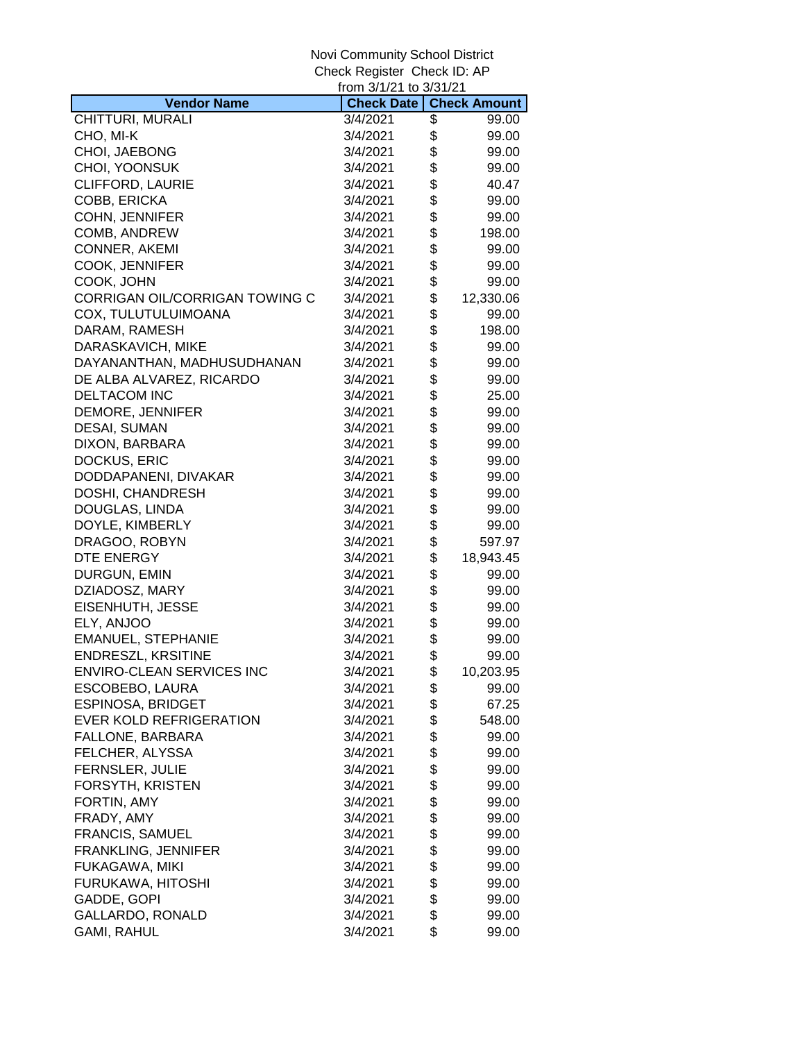|                                | from 3/1/21 to 3/31/21 |                     |
|--------------------------------|------------------------|---------------------|
| <b>Vendor Name</b>             | <b>Check Date</b>      | <b>Check Amount</b> |
| <b>CHITTURI, MURALI</b>        | 3/4/2021               | \$<br>99.00         |
| CHO, MI-K                      | 3/4/2021               | \$<br>99.00         |
| CHOI, JAEBONG                  | 3/4/2021               | \$<br>99.00         |
| CHOI, YOONSUK                  | 3/4/2021               | \$<br>99.00         |
| <b>CLIFFORD, LAURIE</b>        | 3/4/2021               | \$<br>40.47         |
| COBB, ERICKA                   | 3/4/2021               | \$<br>99.00         |
| <b>COHN, JENNIFER</b>          | 3/4/2021               | \$<br>99.00         |
| COMB, ANDREW                   | 3/4/2021               | \$<br>198.00        |
| CONNER, AKEMI                  | 3/4/2021               | \$<br>99.00         |
| COOK, JENNIFER                 | 3/4/2021               | \$<br>99.00         |
| COOK, JOHN                     | 3/4/2021               | \$<br>99.00         |
| CORRIGAN OIL/CORRIGAN TOWING C | 3/4/2021               | \$<br>12,330.06     |
| COX, TULUTULUIMOANA            | 3/4/2021               | \$<br>99.00         |
| DARAM, RAMESH                  | 3/4/2021               | \$<br>198.00        |
| DARASKAVICH, MIKE              | 3/4/2021               | \$<br>99.00         |
| DAYANANTHAN, MADHUSUDHANAN     | 3/4/2021               | \$<br>99.00         |
| DE ALBA ALVAREZ, RICARDO       | 3/4/2021               | \$<br>99.00         |
| <b>DELTACOM INC</b>            | 3/4/2021               | \$<br>25.00         |
| DEMORE, JENNIFER               | 3/4/2021               | \$<br>99.00         |
| <b>DESAI, SUMAN</b>            | 3/4/2021               | \$<br>99.00         |
| DIXON, BARBARA                 | 3/4/2021               | \$<br>99.00         |
| DOCKUS, ERIC                   | 3/4/2021               | \$<br>99.00         |
| DODDAPANENI, DIVAKAR           | 3/4/2021               | \$<br>99.00         |
| DOSHI, CHANDRESH               | 3/4/2021               | \$<br>99.00         |
| DOUGLAS, LINDA                 | 3/4/2021               | \$<br>99.00         |
| DOYLE, KIMBERLY                | 3/4/2021               | \$<br>99.00         |
| DRAGOO, ROBYN                  | 3/4/2021               | \$<br>597.97        |
| DTE ENERGY                     | 3/4/2021               | \$<br>18,943.45     |
| DURGUN, EMIN                   | 3/4/2021               | \$<br>99.00         |
| DZIADOSZ, MARY                 | 3/4/2021               | \$<br>99.00         |
| EISENHUTH, JESSE               | 3/4/2021               | \$<br>99.00         |
| ELY, ANJOO                     | 3/4/2021               | \$<br>99.00         |
| <b>EMANUEL, STEPHANIE</b>      | 3/4/2021               | \$<br>99.00         |
| <b>ENDRESZL, KRSITINE</b>      | 3/4/2021               | \$<br>99.00         |
| ENVIRO-CLEAN SERVICES INC      | 3/4/2021               | \$<br>10,203.95     |
| ESCOBEBO, LAURA                | 3/4/2021               | \$<br>99.00         |
| <b>ESPINOSA, BRIDGET</b>       | 3/4/2021               | \$<br>67.25         |
| <b>EVER KOLD REFRIGERATION</b> | 3/4/2021               | \$<br>548.00        |
| FALLONE, BARBARA               | 3/4/2021               | \$<br>99.00         |
| FELCHER, ALYSSA                | 3/4/2021               | \$<br>99.00         |
| FERNSLER, JULIE                | 3/4/2021               | \$<br>99.00         |
| FORSYTH, KRISTEN               | 3/4/2021               | \$<br>99.00         |
| FORTIN, AMY                    | 3/4/2021               | \$<br>99.00         |
| FRADY, AMY                     | 3/4/2021               | \$<br>99.00         |
| <b>FRANCIS, SAMUEL</b>         | 3/4/2021               | \$<br>99.00         |
| FRANKLING, JENNIFER            | 3/4/2021               | \$<br>99.00         |
| FUKAGAWA, MIKI                 | 3/4/2021               | \$<br>99.00         |
| FURUKAWA, HITOSHI              | 3/4/2021               | \$<br>99.00         |
| GADDE, GOPI                    | 3/4/2021               | \$<br>99.00         |
|                                | 3/4/2021               | \$                  |
| GALLARDO, RONALD               |                        | \$<br>99.00         |
| <b>GAMI, RAHUL</b>             | 3/4/2021               | 99.00               |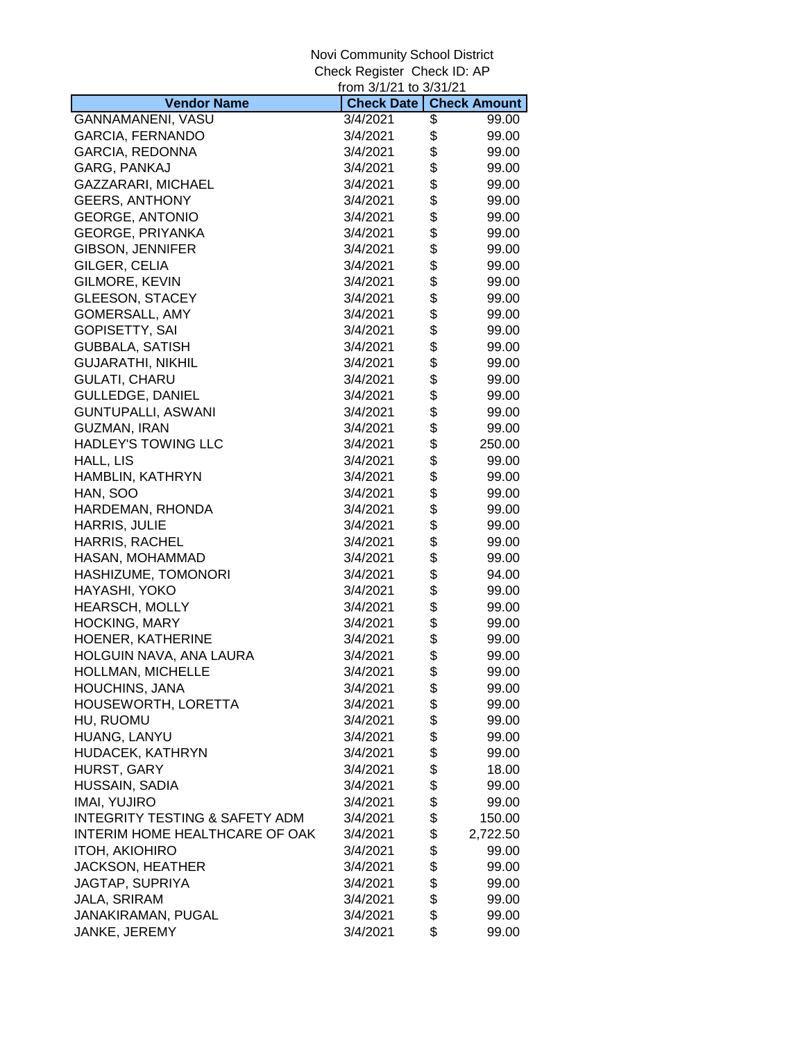| <b>Check Amount</b><br><b>Check Date</b><br>GANNAMANENI, VASU<br>\$<br>3/4/2021<br>99.00<br>\$<br><b>GARCIA, FERNANDO</b><br>3/4/2021<br>99.00<br>\$<br>GARCIA, REDONNA<br>3/4/2021<br>99.00<br>\$<br>GARG, PANKAJ<br>3/4/2021<br>99.00<br>\$<br>GAZZARARI, MICHAEL<br>3/4/2021<br>99.00<br>\$<br><b>GEERS, ANTHONY</b><br>3/4/2021<br>99.00<br>\$<br>GEORGE, ANTONIO<br>3/4/2021<br>99.00<br>\$<br><b>GEORGE, PRIYANKA</b><br>3/4/2021<br>99.00<br>\$<br>GIBSON, JENNIFER<br>3/4/2021<br>99.00<br>\$<br>GILGER, CELIA<br>3/4/2021<br>99.00<br>\$<br>GILMORE, KEVIN<br>3/4/2021<br>99.00<br>\$<br><b>GLEESON, STACEY</b><br>3/4/2021<br>99.00<br>\$<br>GOMERSALL, AMY<br>3/4/2021<br>99.00<br>\$<br><b>GOPISETTY, SAI</b><br>3/4/2021<br>99.00<br>\$<br><b>GUBBALA, SATISH</b><br>3/4/2021<br>99.00<br>\$<br><b>GUJARATHI, NIKHIL</b><br>3/4/2021<br>99.00<br>\$<br><b>GULATI, CHARU</b><br>3/4/2021<br>99.00<br>\$<br>GULLEDGE, DANIEL<br>3/4/2021<br>99.00<br>\$<br><b>GUNTUPALLI, ASWANI</b><br>3/4/2021<br>99.00<br>\$<br><b>GUZMAN, IRAN</b><br>3/4/2021<br>99.00<br>\$<br><b>HADLEY'S TOWING LLC</b><br>3/4/2021<br>250.00<br>\$<br>HALL, LIS<br>3/4/2021<br>99.00<br>\$<br>HAMBLIN, KATHRYN<br>3/4/2021<br>99.00<br>\$<br>HAN, SOO<br>3/4/2021<br>99.00<br>\$<br>HARDEMAN, RHONDA<br>3/4/2021<br>99.00<br>\$<br><b>HARRIS, JULIE</b><br>3/4/2021<br>99.00<br>\$<br><b>HARRIS, RACHEL</b><br>3/4/2021<br>99.00<br>\$<br>HASAN, MOHAMMAD<br>3/4/2021<br>99.00<br>\$<br>HASHIZUME, TOMONORI<br>3/4/2021<br>94.00<br>\$<br>HAYASHI, YOKO<br>3/4/2021<br>99.00<br>\$<br><b>HEARSCH, MOLLY</b><br>3/4/2021<br>99.00<br>\$<br>HOCKING, MARY<br>3/4/2021<br>99.00<br>\$<br>HOENER, KATHERINE<br>3/4/2021<br>99.00<br>\$<br>HOLGUIN NAVA, ANA LAURA<br>3/4/2021<br>99.00<br>\$<br>HOLLMAN, MICHELLE<br>3/4/2021<br>99.00<br>\$<br>HOUCHINS, JANA<br>3/4/2021<br>99.00<br>\$<br>HOUSEWORTH, LORETTA<br>3/4/2021<br>99.00<br>\$<br>HU, RUOMU<br>3/4/2021<br>99.00<br>\$<br>HUANG, LANYU<br>3/4/2021<br>99.00<br>\$<br>HUDACEK, KATHRYN<br>3/4/2021<br>99.00<br>\$<br>HURST, GARY<br>3/4/2021<br>18.00<br>\$<br>HUSSAIN, SADIA<br>3/4/2021<br>99.00<br>\$<br><b>IMAI, YUJIRO</b><br>3/4/2021<br>99.00<br>\$<br><b>INTEGRITY TESTING &amp; SAFETY ADM</b><br>3/4/2021<br>150.00<br>\$<br>INTERIM HOME HEALTHCARE OF OAK<br>3/4/2021<br>2,722.50<br>\$<br><b>ITOH, AKIOHIRO</b><br>3/4/2021<br>99.00<br>\$<br><b>JACKSON, HEATHER</b><br>3/4/2021<br>99.00<br>\$<br>JAGTAP, SUPRIYA<br>3/4/2021<br>99.00<br>\$<br>JALA, SRIRAM<br>3/4/2021<br>99.00<br>\$<br>JANAKIRAMAN, PUGAL<br>3/4/2021<br>99.00<br>\$<br>JANKE, JEREMY<br>3/4/2021<br>99.00 |                    | from 3/1/21 to 3/31/21 |  |
|-------------------------------------------------------------------------------------------------------------------------------------------------------------------------------------------------------------------------------------------------------------------------------------------------------------------------------------------------------------------------------------------------------------------------------------------------------------------------------------------------------------------------------------------------------------------------------------------------------------------------------------------------------------------------------------------------------------------------------------------------------------------------------------------------------------------------------------------------------------------------------------------------------------------------------------------------------------------------------------------------------------------------------------------------------------------------------------------------------------------------------------------------------------------------------------------------------------------------------------------------------------------------------------------------------------------------------------------------------------------------------------------------------------------------------------------------------------------------------------------------------------------------------------------------------------------------------------------------------------------------------------------------------------------------------------------------------------------------------------------------------------------------------------------------------------------------------------------------------------------------------------------------------------------------------------------------------------------------------------------------------------------------------------------------------------------------------------------------------------------------------------------------------------------------------------------------------------------------------------------------------------------------------------------------------------------------------------------------------------------------------------------------------------------------------------------------------------------------------------------------------------------------------------------------------------------------------------------------------------------------------------------|--------------------|------------------------|--|
|                                                                                                                                                                                                                                                                                                                                                                                                                                                                                                                                                                                                                                                                                                                                                                                                                                                                                                                                                                                                                                                                                                                                                                                                                                                                                                                                                                                                                                                                                                                                                                                                                                                                                                                                                                                                                                                                                                                                                                                                                                                                                                                                                                                                                                                                                                                                                                                                                                                                                                                                                                                                                                           | <b>Vendor Name</b> |                        |  |
|                                                                                                                                                                                                                                                                                                                                                                                                                                                                                                                                                                                                                                                                                                                                                                                                                                                                                                                                                                                                                                                                                                                                                                                                                                                                                                                                                                                                                                                                                                                                                                                                                                                                                                                                                                                                                                                                                                                                                                                                                                                                                                                                                                                                                                                                                                                                                                                                                                                                                                                                                                                                                                           |                    |                        |  |
|                                                                                                                                                                                                                                                                                                                                                                                                                                                                                                                                                                                                                                                                                                                                                                                                                                                                                                                                                                                                                                                                                                                                                                                                                                                                                                                                                                                                                                                                                                                                                                                                                                                                                                                                                                                                                                                                                                                                                                                                                                                                                                                                                                                                                                                                                                                                                                                                                                                                                                                                                                                                                                           |                    |                        |  |
|                                                                                                                                                                                                                                                                                                                                                                                                                                                                                                                                                                                                                                                                                                                                                                                                                                                                                                                                                                                                                                                                                                                                                                                                                                                                                                                                                                                                                                                                                                                                                                                                                                                                                                                                                                                                                                                                                                                                                                                                                                                                                                                                                                                                                                                                                                                                                                                                                                                                                                                                                                                                                                           |                    |                        |  |
|                                                                                                                                                                                                                                                                                                                                                                                                                                                                                                                                                                                                                                                                                                                                                                                                                                                                                                                                                                                                                                                                                                                                                                                                                                                                                                                                                                                                                                                                                                                                                                                                                                                                                                                                                                                                                                                                                                                                                                                                                                                                                                                                                                                                                                                                                                                                                                                                                                                                                                                                                                                                                                           |                    |                        |  |
|                                                                                                                                                                                                                                                                                                                                                                                                                                                                                                                                                                                                                                                                                                                                                                                                                                                                                                                                                                                                                                                                                                                                                                                                                                                                                                                                                                                                                                                                                                                                                                                                                                                                                                                                                                                                                                                                                                                                                                                                                                                                                                                                                                                                                                                                                                                                                                                                                                                                                                                                                                                                                                           |                    |                        |  |
|                                                                                                                                                                                                                                                                                                                                                                                                                                                                                                                                                                                                                                                                                                                                                                                                                                                                                                                                                                                                                                                                                                                                                                                                                                                                                                                                                                                                                                                                                                                                                                                                                                                                                                                                                                                                                                                                                                                                                                                                                                                                                                                                                                                                                                                                                                                                                                                                                                                                                                                                                                                                                                           |                    |                        |  |
|                                                                                                                                                                                                                                                                                                                                                                                                                                                                                                                                                                                                                                                                                                                                                                                                                                                                                                                                                                                                                                                                                                                                                                                                                                                                                                                                                                                                                                                                                                                                                                                                                                                                                                                                                                                                                                                                                                                                                                                                                                                                                                                                                                                                                                                                                                                                                                                                                                                                                                                                                                                                                                           |                    |                        |  |
|                                                                                                                                                                                                                                                                                                                                                                                                                                                                                                                                                                                                                                                                                                                                                                                                                                                                                                                                                                                                                                                                                                                                                                                                                                                                                                                                                                                                                                                                                                                                                                                                                                                                                                                                                                                                                                                                                                                                                                                                                                                                                                                                                                                                                                                                                                                                                                                                                                                                                                                                                                                                                                           |                    |                        |  |
|                                                                                                                                                                                                                                                                                                                                                                                                                                                                                                                                                                                                                                                                                                                                                                                                                                                                                                                                                                                                                                                                                                                                                                                                                                                                                                                                                                                                                                                                                                                                                                                                                                                                                                                                                                                                                                                                                                                                                                                                                                                                                                                                                                                                                                                                                                                                                                                                                                                                                                                                                                                                                                           |                    |                        |  |
|                                                                                                                                                                                                                                                                                                                                                                                                                                                                                                                                                                                                                                                                                                                                                                                                                                                                                                                                                                                                                                                                                                                                                                                                                                                                                                                                                                                                                                                                                                                                                                                                                                                                                                                                                                                                                                                                                                                                                                                                                                                                                                                                                                                                                                                                                                                                                                                                                                                                                                                                                                                                                                           |                    |                        |  |
|                                                                                                                                                                                                                                                                                                                                                                                                                                                                                                                                                                                                                                                                                                                                                                                                                                                                                                                                                                                                                                                                                                                                                                                                                                                                                                                                                                                                                                                                                                                                                                                                                                                                                                                                                                                                                                                                                                                                                                                                                                                                                                                                                                                                                                                                                                                                                                                                                                                                                                                                                                                                                                           |                    |                        |  |
|                                                                                                                                                                                                                                                                                                                                                                                                                                                                                                                                                                                                                                                                                                                                                                                                                                                                                                                                                                                                                                                                                                                                                                                                                                                                                                                                                                                                                                                                                                                                                                                                                                                                                                                                                                                                                                                                                                                                                                                                                                                                                                                                                                                                                                                                                                                                                                                                                                                                                                                                                                                                                                           |                    |                        |  |
|                                                                                                                                                                                                                                                                                                                                                                                                                                                                                                                                                                                                                                                                                                                                                                                                                                                                                                                                                                                                                                                                                                                                                                                                                                                                                                                                                                                                                                                                                                                                                                                                                                                                                                                                                                                                                                                                                                                                                                                                                                                                                                                                                                                                                                                                                                                                                                                                                                                                                                                                                                                                                                           |                    |                        |  |
|                                                                                                                                                                                                                                                                                                                                                                                                                                                                                                                                                                                                                                                                                                                                                                                                                                                                                                                                                                                                                                                                                                                                                                                                                                                                                                                                                                                                                                                                                                                                                                                                                                                                                                                                                                                                                                                                                                                                                                                                                                                                                                                                                                                                                                                                                                                                                                                                                                                                                                                                                                                                                                           |                    |                        |  |
|                                                                                                                                                                                                                                                                                                                                                                                                                                                                                                                                                                                                                                                                                                                                                                                                                                                                                                                                                                                                                                                                                                                                                                                                                                                                                                                                                                                                                                                                                                                                                                                                                                                                                                                                                                                                                                                                                                                                                                                                                                                                                                                                                                                                                                                                                                                                                                                                                                                                                                                                                                                                                                           |                    |                        |  |
|                                                                                                                                                                                                                                                                                                                                                                                                                                                                                                                                                                                                                                                                                                                                                                                                                                                                                                                                                                                                                                                                                                                                                                                                                                                                                                                                                                                                                                                                                                                                                                                                                                                                                                                                                                                                                                                                                                                                                                                                                                                                                                                                                                                                                                                                                                                                                                                                                                                                                                                                                                                                                                           |                    |                        |  |
|                                                                                                                                                                                                                                                                                                                                                                                                                                                                                                                                                                                                                                                                                                                                                                                                                                                                                                                                                                                                                                                                                                                                                                                                                                                                                                                                                                                                                                                                                                                                                                                                                                                                                                                                                                                                                                                                                                                                                                                                                                                                                                                                                                                                                                                                                                                                                                                                                                                                                                                                                                                                                                           |                    |                        |  |
|                                                                                                                                                                                                                                                                                                                                                                                                                                                                                                                                                                                                                                                                                                                                                                                                                                                                                                                                                                                                                                                                                                                                                                                                                                                                                                                                                                                                                                                                                                                                                                                                                                                                                                                                                                                                                                                                                                                                                                                                                                                                                                                                                                                                                                                                                                                                                                                                                                                                                                                                                                                                                                           |                    |                        |  |
|                                                                                                                                                                                                                                                                                                                                                                                                                                                                                                                                                                                                                                                                                                                                                                                                                                                                                                                                                                                                                                                                                                                                                                                                                                                                                                                                                                                                                                                                                                                                                                                                                                                                                                                                                                                                                                                                                                                                                                                                                                                                                                                                                                                                                                                                                                                                                                                                                                                                                                                                                                                                                                           |                    |                        |  |
|                                                                                                                                                                                                                                                                                                                                                                                                                                                                                                                                                                                                                                                                                                                                                                                                                                                                                                                                                                                                                                                                                                                                                                                                                                                                                                                                                                                                                                                                                                                                                                                                                                                                                                                                                                                                                                                                                                                                                                                                                                                                                                                                                                                                                                                                                                                                                                                                                                                                                                                                                                                                                                           |                    |                        |  |
|                                                                                                                                                                                                                                                                                                                                                                                                                                                                                                                                                                                                                                                                                                                                                                                                                                                                                                                                                                                                                                                                                                                                                                                                                                                                                                                                                                                                                                                                                                                                                                                                                                                                                                                                                                                                                                                                                                                                                                                                                                                                                                                                                                                                                                                                                                                                                                                                                                                                                                                                                                                                                                           |                    |                        |  |
|                                                                                                                                                                                                                                                                                                                                                                                                                                                                                                                                                                                                                                                                                                                                                                                                                                                                                                                                                                                                                                                                                                                                                                                                                                                                                                                                                                                                                                                                                                                                                                                                                                                                                                                                                                                                                                                                                                                                                                                                                                                                                                                                                                                                                                                                                                                                                                                                                                                                                                                                                                                                                                           |                    |                        |  |
|                                                                                                                                                                                                                                                                                                                                                                                                                                                                                                                                                                                                                                                                                                                                                                                                                                                                                                                                                                                                                                                                                                                                                                                                                                                                                                                                                                                                                                                                                                                                                                                                                                                                                                                                                                                                                                                                                                                                                                                                                                                                                                                                                                                                                                                                                                                                                                                                                                                                                                                                                                                                                                           |                    |                        |  |
|                                                                                                                                                                                                                                                                                                                                                                                                                                                                                                                                                                                                                                                                                                                                                                                                                                                                                                                                                                                                                                                                                                                                                                                                                                                                                                                                                                                                                                                                                                                                                                                                                                                                                                                                                                                                                                                                                                                                                                                                                                                                                                                                                                                                                                                                                                                                                                                                                                                                                                                                                                                                                                           |                    |                        |  |
|                                                                                                                                                                                                                                                                                                                                                                                                                                                                                                                                                                                                                                                                                                                                                                                                                                                                                                                                                                                                                                                                                                                                                                                                                                                                                                                                                                                                                                                                                                                                                                                                                                                                                                                                                                                                                                                                                                                                                                                                                                                                                                                                                                                                                                                                                                                                                                                                                                                                                                                                                                                                                                           |                    |                        |  |
|                                                                                                                                                                                                                                                                                                                                                                                                                                                                                                                                                                                                                                                                                                                                                                                                                                                                                                                                                                                                                                                                                                                                                                                                                                                                                                                                                                                                                                                                                                                                                                                                                                                                                                                                                                                                                                                                                                                                                                                                                                                                                                                                                                                                                                                                                                                                                                                                                                                                                                                                                                                                                                           |                    |                        |  |
|                                                                                                                                                                                                                                                                                                                                                                                                                                                                                                                                                                                                                                                                                                                                                                                                                                                                                                                                                                                                                                                                                                                                                                                                                                                                                                                                                                                                                                                                                                                                                                                                                                                                                                                                                                                                                                                                                                                                                                                                                                                                                                                                                                                                                                                                                                                                                                                                                                                                                                                                                                                                                                           |                    |                        |  |
|                                                                                                                                                                                                                                                                                                                                                                                                                                                                                                                                                                                                                                                                                                                                                                                                                                                                                                                                                                                                                                                                                                                                                                                                                                                                                                                                                                                                                                                                                                                                                                                                                                                                                                                                                                                                                                                                                                                                                                                                                                                                                                                                                                                                                                                                                                                                                                                                                                                                                                                                                                                                                                           |                    |                        |  |
|                                                                                                                                                                                                                                                                                                                                                                                                                                                                                                                                                                                                                                                                                                                                                                                                                                                                                                                                                                                                                                                                                                                                                                                                                                                                                                                                                                                                                                                                                                                                                                                                                                                                                                                                                                                                                                                                                                                                                                                                                                                                                                                                                                                                                                                                                                                                                                                                                                                                                                                                                                                                                                           |                    |                        |  |
|                                                                                                                                                                                                                                                                                                                                                                                                                                                                                                                                                                                                                                                                                                                                                                                                                                                                                                                                                                                                                                                                                                                                                                                                                                                                                                                                                                                                                                                                                                                                                                                                                                                                                                                                                                                                                                                                                                                                                                                                                                                                                                                                                                                                                                                                                                                                                                                                                                                                                                                                                                                                                                           |                    |                        |  |
|                                                                                                                                                                                                                                                                                                                                                                                                                                                                                                                                                                                                                                                                                                                                                                                                                                                                                                                                                                                                                                                                                                                                                                                                                                                                                                                                                                                                                                                                                                                                                                                                                                                                                                                                                                                                                                                                                                                                                                                                                                                                                                                                                                                                                                                                                                                                                                                                                                                                                                                                                                                                                                           |                    |                        |  |
|                                                                                                                                                                                                                                                                                                                                                                                                                                                                                                                                                                                                                                                                                                                                                                                                                                                                                                                                                                                                                                                                                                                                                                                                                                                                                                                                                                                                                                                                                                                                                                                                                                                                                                                                                                                                                                                                                                                                                                                                                                                                                                                                                                                                                                                                                                                                                                                                                                                                                                                                                                                                                                           |                    |                        |  |
|                                                                                                                                                                                                                                                                                                                                                                                                                                                                                                                                                                                                                                                                                                                                                                                                                                                                                                                                                                                                                                                                                                                                                                                                                                                                                                                                                                                                                                                                                                                                                                                                                                                                                                                                                                                                                                                                                                                                                                                                                                                                                                                                                                                                                                                                                                                                                                                                                                                                                                                                                                                                                                           |                    |                        |  |
|                                                                                                                                                                                                                                                                                                                                                                                                                                                                                                                                                                                                                                                                                                                                                                                                                                                                                                                                                                                                                                                                                                                                                                                                                                                                                                                                                                                                                                                                                                                                                                                                                                                                                                                                                                                                                                                                                                                                                                                                                                                                                                                                                                                                                                                                                                                                                                                                                                                                                                                                                                                                                                           |                    |                        |  |
|                                                                                                                                                                                                                                                                                                                                                                                                                                                                                                                                                                                                                                                                                                                                                                                                                                                                                                                                                                                                                                                                                                                                                                                                                                                                                                                                                                                                                                                                                                                                                                                                                                                                                                                                                                                                                                                                                                                                                                                                                                                                                                                                                                                                                                                                                                                                                                                                                                                                                                                                                                                                                                           |                    |                        |  |
|                                                                                                                                                                                                                                                                                                                                                                                                                                                                                                                                                                                                                                                                                                                                                                                                                                                                                                                                                                                                                                                                                                                                                                                                                                                                                                                                                                                                                                                                                                                                                                                                                                                                                                                                                                                                                                                                                                                                                                                                                                                                                                                                                                                                                                                                                                                                                                                                                                                                                                                                                                                                                                           |                    |                        |  |
|                                                                                                                                                                                                                                                                                                                                                                                                                                                                                                                                                                                                                                                                                                                                                                                                                                                                                                                                                                                                                                                                                                                                                                                                                                                                                                                                                                                                                                                                                                                                                                                                                                                                                                                                                                                                                                                                                                                                                                                                                                                                                                                                                                                                                                                                                                                                                                                                                                                                                                                                                                                                                                           |                    |                        |  |
|                                                                                                                                                                                                                                                                                                                                                                                                                                                                                                                                                                                                                                                                                                                                                                                                                                                                                                                                                                                                                                                                                                                                                                                                                                                                                                                                                                                                                                                                                                                                                                                                                                                                                                                                                                                                                                                                                                                                                                                                                                                                                                                                                                                                                                                                                                                                                                                                                                                                                                                                                                                                                                           |                    |                        |  |
|                                                                                                                                                                                                                                                                                                                                                                                                                                                                                                                                                                                                                                                                                                                                                                                                                                                                                                                                                                                                                                                                                                                                                                                                                                                                                                                                                                                                                                                                                                                                                                                                                                                                                                                                                                                                                                                                                                                                                                                                                                                                                                                                                                                                                                                                                                                                                                                                                                                                                                                                                                                                                                           |                    |                        |  |
|                                                                                                                                                                                                                                                                                                                                                                                                                                                                                                                                                                                                                                                                                                                                                                                                                                                                                                                                                                                                                                                                                                                                                                                                                                                                                                                                                                                                                                                                                                                                                                                                                                                                                                                                                                                                                                                                                                                                                                                                                                                                                                                                                                                                                                                                                                                                                                                                                                                                                                                                                                                                                                           |                    |                        |  |
|                                                                                                                                                                                                                                                                                                                                                                                                                                                                                                                                                                                                                                                                                                                                                                                                                                                                                                                                                                                                                                                                                                                                                                                                                                                                                                                                                                                                                                                                                                                                                                                                                                                                                                                                                                                                                                                                                                                                                                                                                                                                                                                                                                                                                                                                                                                                                                                                                                                                                                                                                                                                                                           |                    |                        |  |
|                                                                                                                                                                                                                                                                                                                                                                                                                                                                                                                                                                                                                                                                                                                                                                                                                                                                                                                                                                                                                                                                                                                                                                                                                                                                                                                                                                                                                                                                                                                                                                                                                                                                                                                                                                                                                                                                                                                                                                                                                                                                                                                                                                                                                                                                                                                                                                                                                                                                                                                                                                                                                                           |                    |                        |  |
|                                                                                                                                                                                                                                                                                                                                                                                                                                                                                                                                                                                                                                                                                                                                                                                                                                                                                                                                                                                                                                                                                                                                                                                                                                                                                                                                                                                                                                                                                                                                                                                                                                                                                                                                                                                                                                                                                                                                                                                                                                                                                                                                                                                                                                                                                                                                                                                                                                                                                                                                                                                                                                           |                    |                        |  |
|                                                                                                                                                                                                                                                                                                                                                                                                                                                                                                                                                                                                                                                                                                                                                                                                                                                                                                                                                                                                                                                                                                                                                                                                                                                                                                                                                                                                                                                                                                                                                                                                                                                                                                                                                                                                                                                                                                                                                                                                                                                                                                                                                                                                                                                                                                                                                                                                                                                                                                                                                                                                                                           |                    |                        |  |
|                                                                                                                                                                                                                                                                                                                                                                                                                                                                                                                                                                                                                                                                                                                                                                                                                                                                                                                                                                                                                                                                                                                                                                                                                                                                                                                                                                                                                                                                                                                                                                                                                                                                                                                                                                                                                                                                                                                                                                                                                                                                                                                                                                                                                                                                                                                                                                                                                                                                                                                                                                                                                                           |                    |                        |  |
|                                                                                                                                                                                                                                                                                                                                                                                                                                                                                                                                                                                                                                                                                                                                                                                                                                                                                                                                                                                                                                                                                                                                                                                                                                                                                                                                                                                                                                                                                                                                                                                                                                                                                                                                                                                                                                                                                                                                                                                                                                                                                                                                                                                                                                                                                                                                                                                                                                                                                                                                                                                                                                           |                    |                        |  |
|                                                                                                                                                                                                                                                                                                                                                                                                                                                                                                                                                                                                                                                                                                                                                                                                                                                                                                                                                                                                                                                                                                                                                                                                                                                                                                                                                                                                                                                                                                                                                                                                                                                                                                                                                                                                                                                                                                                                                                                                                                                                                                                                                                                                                                                                                                                                                                                                                                                                                                                                                                                                                                           |                    |                        |  |
|                                                                                                                                                                                                                                                                                                                                                                                                                                                                                                                                                                                                                                                                                                                                                                                                                                                                                                                                                                                                                                                                                                                                                                                                                                                                                                                                                                                                                                                                                                                                                                                                                                                                                                                                                                                                                                                                                                                                                                                                                                                                                                                                                                                                                                                                                                                                                                                                                                                                                                                                                                                                                                           |                    |                        |  |
|                                                                                                                                                                                                                                                                                                                                                                                                                                                                                                                                                                                                                                                                                                                                                                                                                                                                                                                                                                                                                                                                                                                                                                                                                                                                                                                                                                                                                                                                                                                                                                                                                                                                                                                                                                                                                                                                                                                                                                                                                                                                                                                                                                                                                                                                                                                                                                                                                                                                                                                                                                                                                                           |                    |                        |  |
|                                                                                                                                                                                                                                                                                                                                                                                                                                                                                                                                                                                                                                                                                                                                                                                                                                                                                                                                                                                                                                                                                                                                                                                                                                                                                                                                                                                                                                                                                                                                                                                                                                                                                                                                                                                                                                                                                                                                                                                                                                                                                                                                                                                                                                                                                                                                                                                                                                                                                                                                                                                                                                           |                    |                        |  |
|                                                                                                                                                                                                                                                                                                                                                                                                                                                                                                                                                                                                                                                                                                                                                                                                                                                                                                                                                                                                                                                                                                                                                                                                                                                                                                                                                                                                                                                                                                                                                                                                                                                                                                                                                                                                                                                                                                                                                                                                                                                                                                                                                                                                                                                                                                                                                                                                                                                                                                                                                                                                                                           |                    |                        |  |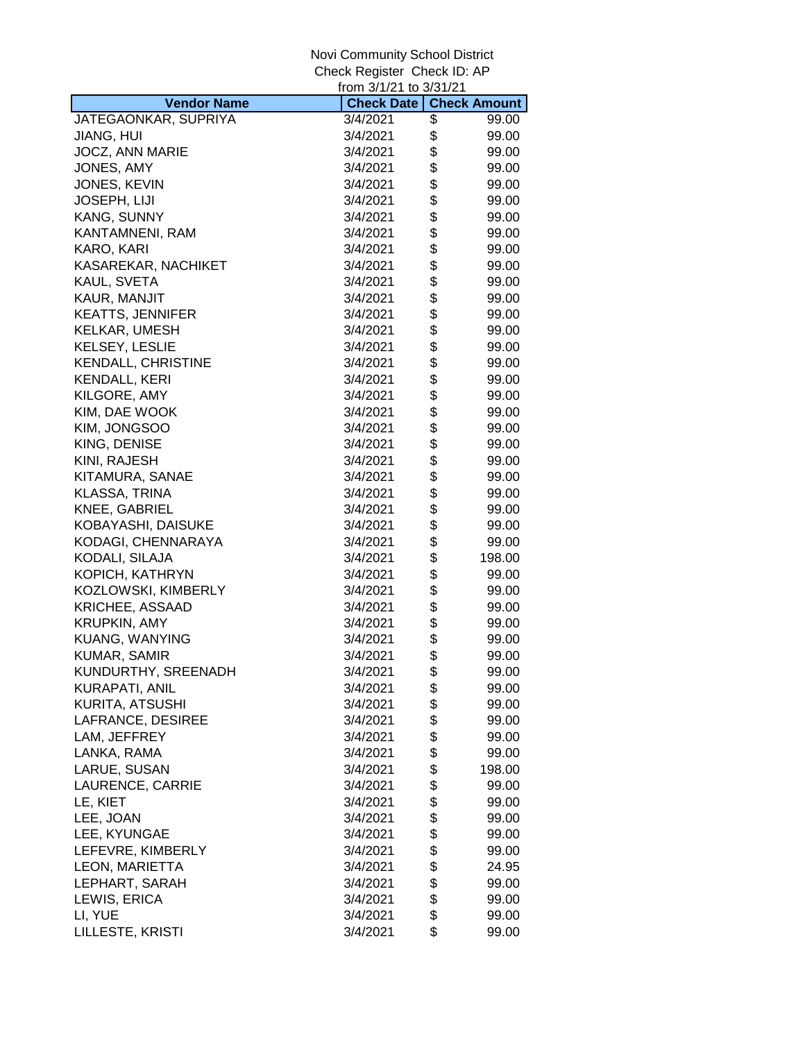|                           | from 3/1/21 to 3/31/21 |                     |
|---------------------------|------------------------|---------------------|
| <b>Vendor Name</b>        | <b>Check Date</b>      | <b>Check Amount</b> |
| JATEGAONKAR, SUPRIYA      | 3/4/2021               | \$<br>99.00         |
| JIANG, HUI                | 3/4/2021               | \$<br>99.00         |
| JOCZ, ANN MARIE           | 3/4/2021               | \$<br>99.00         |
| JONES, AMY                | 3/4/2021               | \$<br>99.00         |
| JONES, KEVIN              | 3/4/2021               | \$<br>99.00         |
| <b>JOSEPH, LIJI</b>       | 3/4/2021               | \$<br>99.00         |
| KANG, SUNNY               | 3/4/2021               | \$<br>99.00         |
| KANTAMNENI, RAM           | 3/4/2021               | \$<br>99.00         |
| KARO, KARI                | 3/4/2021               | \$<br>99.00         |
| KASAREKAR, NACHIKET       | 3/4/2021               | \$<br>99.00         |
| KAUL, SVETA               | 3/4/2021               | \$<br>99.00         |
| KAUR, MANJIT              | 3/4/2021               | \$<br>99.00         |
| <b>KEATTS, JENNIFER</b>   | 3/4/2021               | \$<br>99.00         |
| <b>KELKAR, UMESH</b>      | 3/4/2021               | \$<br>99.00         |
| <b>KELSEY, LESLIE</b>     | 3/4/2021               | \$<br>99.00         |
| <b>KENDALL, CHRISTINE</b> | 3/4/2021               | \$<br>99.00         |
| <b>KENDALL, KERI</b>      | 3/4/2021               | \$<br>99.00         |
| KILGORE, AMY              | 3/4/2021               | \$<br>99.00         |
| KIM, DAE WOOK             | 3/4/2021               | \$<br>99.00         |
|                           |                        | \$                  |
| KIM, JONGSOO              | 3/4/2021               | \$<br>99.00         |
| KING, DENISE              | 3/4/2021               | 99.00               |
| KINI, RAJESH              | 3/4/2021               | \$<br>99.00         |
| KITAMURA, SANAE           | 3/4/2021               | \$<br>99.00         |
| <b>KLASSA, TRINA</b>      | 3/4/2021               | \$<br>99.00         |
| KNEE, GABRIEL             | 3/4/2021               | \$<br>99.00         |
| KOBAYASHI, DAISUKE        | 3/4/2021               | \$<br>99.00         |
| KODAGI, CHENNARAYA        | 3/4/2021               | \$<br>99.00         |
| KODALI, SILAJA            | 3/4/2021               | \$<br>198.00        |
| KOPICH, KATHRYN           | 3/4/2021               | \$<br>99.00         |
| KOZLOWSKI, KIMBERLY       | 3/4/2021               | \$<br>99.00         |
| <b>KRICHEE, ASSAAD</b>    | 3/4/2021               | \$<br>99.00         |
| <b>KRUPKIN, AMY</b>       | 3/4/2021               | \$<br>99.00         |
| KUANG, WANYING            | 3/4/2021               | \$<br>99.00         |
| <b>KUMAR, SAMIR</b>       | 3/4/2021               | \$<br>99.00         |
| KUNDURTHY, SREENADH       | 3/4/2021               | \$<br>99.00         |
| <b>KURAPATI, ANIL</b>     | 3/4/2021               | \$<br>99.00         |
| <b>KURITA, ATSUSHI</b>    | 3/4/2021               | \$<br>99.00         |
| LAFRANCE, DESIREE         | 3/4/2021               | \$<br>99.00         |
| LAM, JEFFREY              | 3/4/2021               | \$<br>99.00         |
| LANKA, RAMA               | 3/4/2021               | \$<br>99.00         |
| LARUE, SUSAN              | 3/4/2021               | \$<br>198.00        |
| LAURENCE, CARRIE          | 3/4/2021               | \$<br>99.00         |
| LE, KIET                  | 3/4/2021               | \$<br>99.00         |
| LEE, JOAN                 | 3/4/2021               | \$<br>99.00         |
| LEE, KYUNGAE              | 3/4/2021               | \$<br>99.00         |
| LEFEVRE, KIMBERLY         | 3/4/2021               | \$<br>99.00         |
| LEON, MARIETTA            | 3/4/2021               | \$<br>24.95         |
| LEPHART, SARAH            | 3/4/2021               | \$<br>99.00         |
| LEWIS, ERICA              | 3/4/2021               | \$<br>99.00         |
| LI, YUE                   | 3/4/2021               | \$<br>99.00         |
| LILLESTE, KRISTI          | 3/4/2021               | \$<br>99.00         |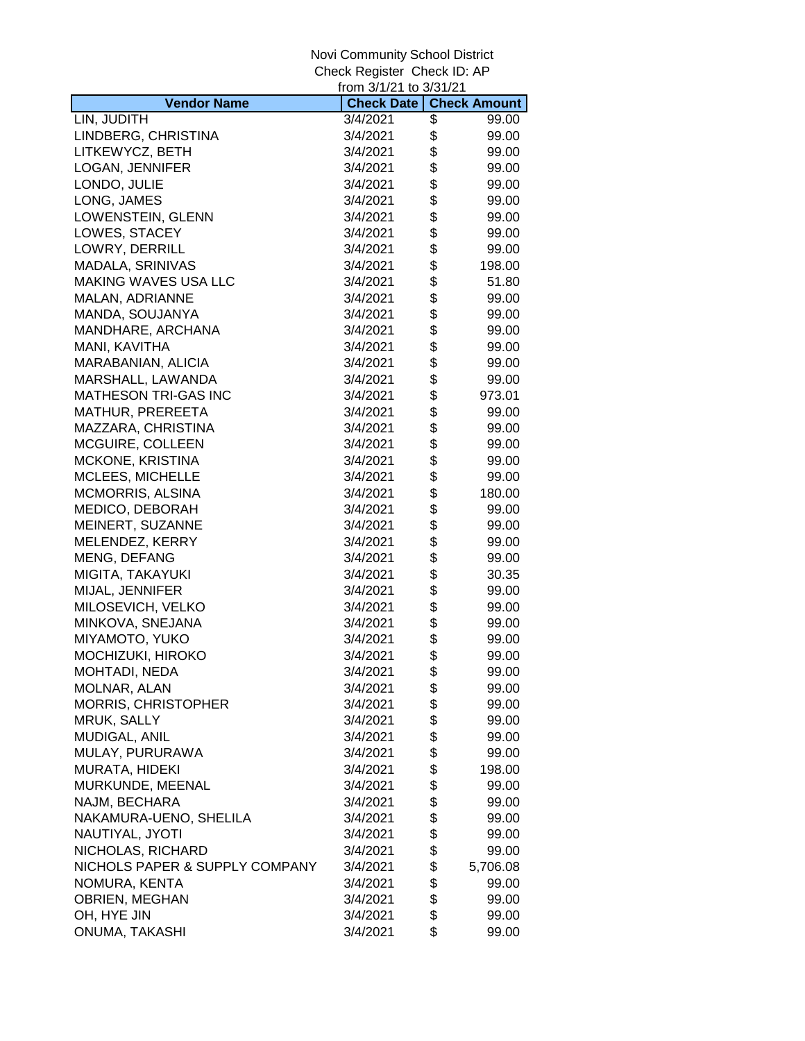|                                | from 3/1/21 to 3/31/21 |                     |
|--------------------------------|------------------------|---------------------|
| <b>Vendor Name</b>             | <b>Check Date</b>      | <b>Check Amount</b> |
| LIN, JUDITH                    | 3/4/2021               | \$<br>99.00         |
| LINDBERG, CHRISTINA            | 3/4/2021               | \$<br>99.00         |
| LITKEWYCZ, BETH                | 3/4/2021               | \$<br>99.00         |
| LOGAN, JENNIFER                | 3/4/2021               | \$<br>99.00         |
| LONDO, JULIE                   | 3/4/2021               | \$<br>99.00         |
| LONG, JAMES                    | 3/4/2021               | \$<br>99.00         |
| LOWENSTEIN, GLENN              | 3/4/2021               | \$<br>99.00         |
| LOWES, STACEY                  | 3/4/2021               | \$<br>99.00         |
| LOWRY, DERRILL                 | 3/4/2021               | \$<br>99.00         |
| MADALA, SRINIVAS               | 3/4/2021               | \$<br>198.00        |
| <b>MAKING WAVES USA LLC</b>    | 3/4/2021               | \$<br>51.80         |
| MALAN, ADRIANNE                | 3/4/2021               | \$<br>99.00         |
| MANDA, SOUJANYA                | 3/4/2021               | \$<br>99.00         |
| MANDHARE, ARCHANA              | 3/4/2021               | \$<br>99.00         |
| MANI, KAVITHA                  | 3/4/2021               | \$<br>99.00         |
| MARABANIAN, ALICIA             | 3/4/2021               | \$<br>99.00         |
| MARSHALL, LAWANDA              | 3/4/2021               | \$<br>99.00         |
| <b>MATHESON TRI-GAS INC</b>    | 3/4/2021               | \$<br>973.01        |
| MATHUR, PREREETA               | 3/4/2021               | \$                  |
|                                |                        | \$<br>99.00         |
| MAZZARA, CHRISTINA             | 3/4/2021               | 99.00               |
| MCGUIRE, COLLEEN               | 3/4/2021               | \$<br>99.00         |
| MCKONE, KRISTINA               | 3/4/2021               | \$<br>99.00         |
| MCLEES, MICHELLE               | 3/4/2021               | \$<br>99.00         |
| MCMORRIS, ALSINA               | 3/4/2021               | \$<br>180.00        |
| MEDICO, DEBORAH                | 3/4/2021               | \$<br>99.00         |
| MEINERT, SUZANNE               | 3/4/2021               | \$<br>99.00         |
| MELENDEZ, KERRY                | 3/4/2021               | \$<br>99.00         |
| MENG, DEFANG                   | 3/4/2021               | \$<br>99.00         |
| MIGITA, TAKAYUKI               | 3/4/2021               | \$<br>30.35         |
| MIJAL, JENNIFER                | 3/4/2021               | \$<br>99.00         |
| MILOSEVICH, VELKO              | 3/4/2021               | \$<br>99.00         |
| MINKOVA, SNEJANA               | 3/4/2021               | \$<br>99.00         |
| MIYAMOTO, YUKO                 | 3/4/2021               | \$<br>99.00         |
| MOCHIZUKI, HIROKO              | 3/4/2021               | \$<br>99.00         |
| MOHTADI, NEDA                  | 3/4/2021               | \$<br>99.00         |
| MOLNAR, ALAN                   | 3/4/2021               | \$<br>99.00         |
| MORRIS, CHRISTOPHER            | 3/4/2021               | \$<br>99.00         |
| MRUK, SALLY                    | 3/4/2021               | \$<br>99.00         |
| MUDIGAL, ANIL                  | 3/4/2021               | \$<br>99.00         |
| MULAY, PURURAWA                | 3/4/2021               | \$<br>99.00         |
| MURATA, HIDEKI                 | 3/4/2021               | \$<br>198.00        |
| MURKUNDE, MEENAL               | 3/4/2021               | \$<br>99.00         |
| NAJM, BECHARA                  | 3/4/2021               | \$<br>99.00         |
| NAKAMURA-UENO, SHELILA         | 3/4/2021               | \$<br>99.00         |
| NAUTIYAL, JYOTI                | 3/4/2021               | \$<br>99.00         |
| NICHOLAS, RICHARD              | 3/4/2021               | \$<br>99.00         |
| NICHOLS PAPER & SUPPLY COMPANY | 3/4/2021               | \$<br>5,706.08      |
| NOMURA, KENTA                  | 3/4/2021               | \$<br>99.00         |
| OBRIEN, MEGHAN                 | 3/4/2021               | \$<br>99.00         |
| OH, HYE JIN                    | 3/4/2021               | \$<br>99.00         |
| ONUMA, TAKASHI                 | 3/4/2021               | \$<br>99.00         |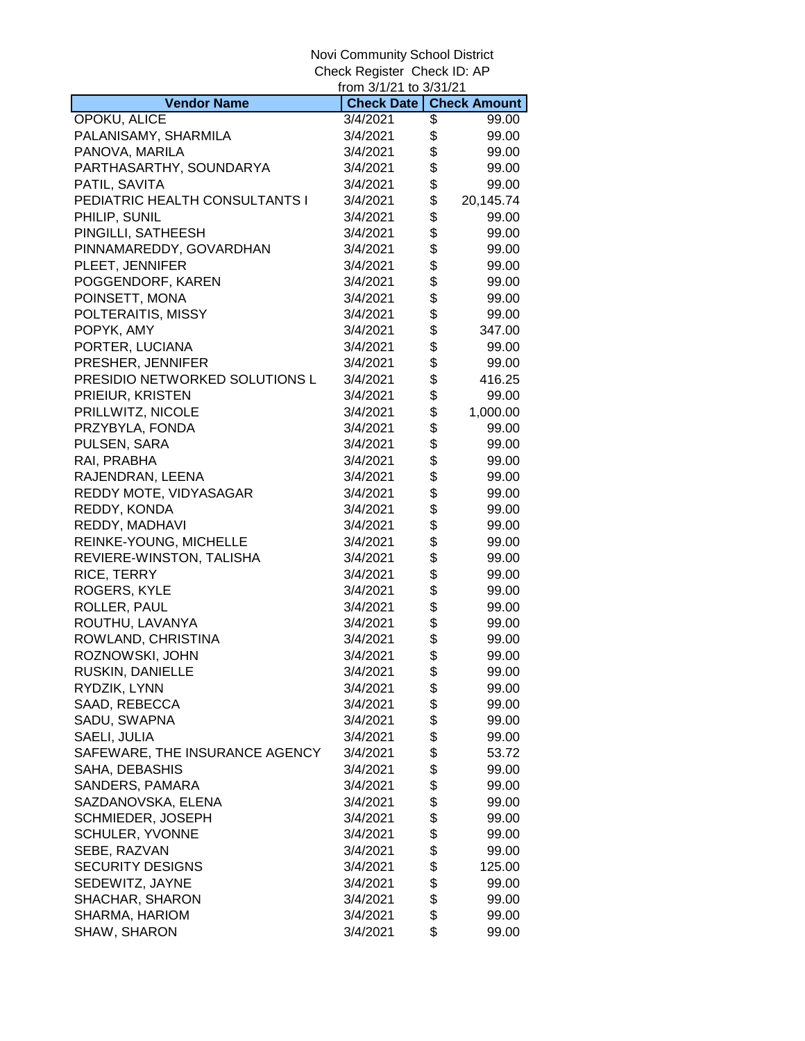|                                | from 3/1/21 to 3/31/21 |                     |
|--------------------------------|------------------------|---------------------|
| <b>Vendor Name</b>             | <b>Check Date</b>      | <b>Check Amount</b> |
| OPOKU, ALICE                   | 3/4/2021               | \$<br>99.00         |
| PALANISAMY, SHARMILA           | 3/4/2021               | \$<br>99.00         |
| PANOVA, MARILA                 | 3/4/2021               | \$<br>99.00         |
| PARTHASARTHY, SOUNDARYA        | 3/4/2021               | \$<br>99.00         |
| PATIL, SAVITA                  | 3/4/2021               | \$<br>99.00         |
| PEDIATRIC HEALTH CONSULTANTS I | 3/4/2021               | \$<br>20,145.74     |
| PHILIP, SUNIL                  | 3/4/2021               | \$<br>99.00         |
| PINGILLI, SATHEESH             | 3/4/2021               | \$<br>99.00         |
| PINNAMAREDDY, GOVARDHAN        | 3/4/2021               | \$<br>99.00         |
| PLEET, JENNIFER                | 3/4/2021               | \$<br>99.00         |
| POGGENDORF, KAREN              | 3/4/2021               | \$<br>99.00         |
| POINSETT, MONA                 | 3/4/2021               | \$<br>99.00         |
| POLTERAITIS, MISSY             | 3/4/2021               | \$<br>99.00         |
| POPYK, AMY                     | 3/4/2021               | \$<br>347.00        |
| PORTER, LUCIANA                | 3/4/2021               | \$<br>99.00         |
| PRESHER, JENNIFER              | 3/4/2021               | \$<br>99.00         |
| PRESIDIO NETWORKED SOLUTIONS L | 3/4/2021               | \$<br>416.25        |
| PRIEIUR, KRISTEN               | 3/4/2021               | \$<br>99.00         |
| PRILLWITZ, NICOLE              | 3/4/2021               | \$<br>1,000.00      |
| PRZYBYLA, FONDA                | 3/4/2021               | \$<br>99.00         |
| PULSEN, SARA                   | 3/4/2021               | \$<br>99.00         |
| RAI, PRABHA                    | 3/4/2021               | \$<br>99.00         |
| RAJENDRAN, LEENA               | 3/4/2021               | \$<br>99.00         |
| REDDY MOTE, VIDYASAGAR         | 3/4/2021               | \$<br>99.00         |
| REDDY, KONDA                   | 3/4/2021               | \$<br>99.00         |
| REDDY, MADHAVI                 | 3/4/2021               | \$<br>99.00         |
| REINKE-YOUNG, MICHELLE         | 3/4/2021               | \$<br>99.00         |
| REVIERE-WINSTON, TALISHA       | 3/4/2021               | \$<br>99.00         |
| RICE, TERRY                    | 3/4/2021               | \$<br>99.00         |
| ROGERS, KYLE                   | 3/4/2021               | \$<br>99.00         |
| ROLLER, PAUL                   | 3/4/2021               | \$<br>99.00         |
| ROUTHU, LAVANYA                | 3/4/2021               | \$<br>99.00         |
| ROWLAND, CHRISTINA             | 3/4/2021               | \$<br>99.00         |
| ROZNOWSKI, JOHN                | 3/4/2021               | \$<br>99.00         |
| RUSKIN, DANIELLE               | 3/4/2021               | \$<br>99.00         |
| RYDZIK, LYNN                   | 3/4/2021               | \$<br>99.00         |
| SAAD, REBECCA                  | 3/4/2021               | \$<br>99.00         |
| SADU, SWAPNA                   | 3/4/2021               | \$<br>99.00         |
| SAELI, JULIA                   | 3/4/2021               | \$<br>99.00         |
| SAFEWARE, THE INSURANCE AGENCY | 3/4/2021               | \$<br>53.72         |
| SAHA, DEBASHIS                 | 3/4/2021               | \$<br>99.00         |
| SANDERS, PAMARA                | 3/4/2021               | \$<br>99.00         |
| SAZDANOVSKA, ELENA             | 3/4/2021               | \$<br>99.00         |
| SCHMIEDER, JOSEPH              | 3/4/2021               | \$<br>99.00         |
| <b>SCHULER, YVONNE</b>         | 3/4/2021               | \$<br>99.00         |
| SEBE, RAZVAN                   | 3/4/2021               | \$<br>99.00         |
| <b>SECURITY DESIGNS</b>        | 3/4/2021               | \$<br>125.00        |
| SEDEWITZ, JAYNE                | 3/4/2021               | \$<br>99.00         |
| <b>SHACHAR, SHARON</b>         | 3/4/2021               | \$<br>99.00         |
| SHARMA, HARIOM                 | 3/4/2021               | \$<br>99.00         |
| SHAW, SHARON                   | 3/4/2021               | \$<br>99.00         |
|                                |                        |                     |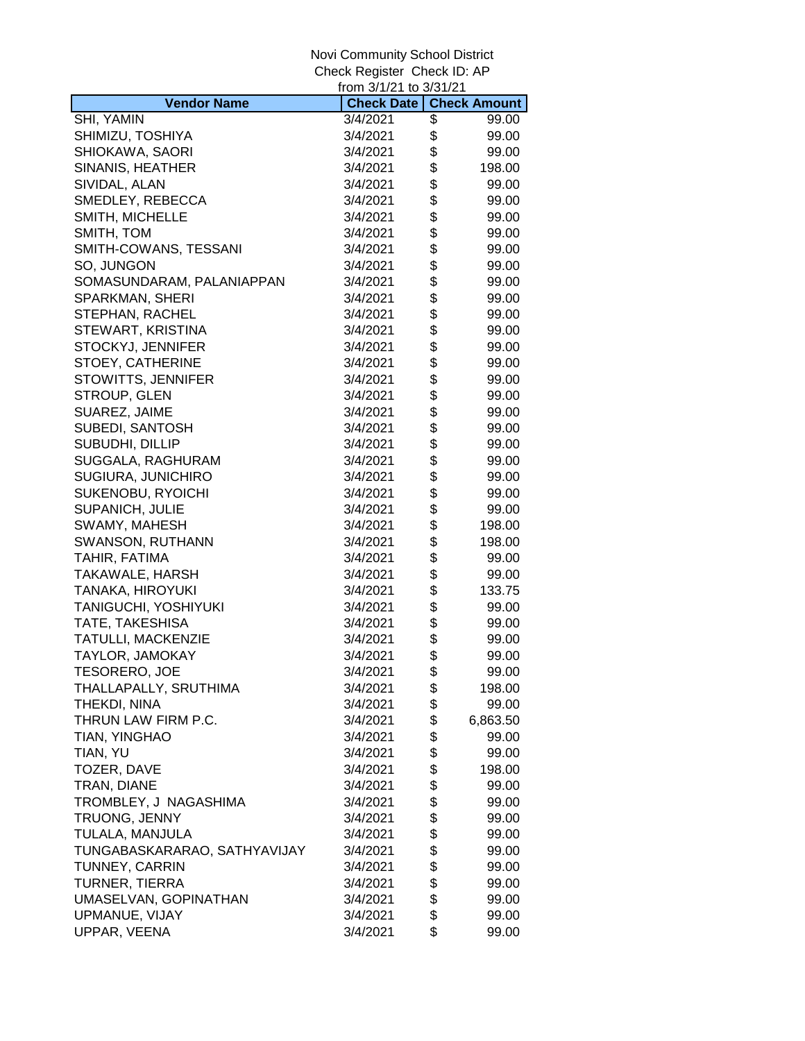| <b>Check Date</b><br><b>Check Amount</b><br>SHI, YAMIN<br>\$<br>3/4/2021<br>99.00<br>\$<br>SHIMIZU, TOSHIYA<br>3/4/2021<br>99.00<br>\$<br>SHIOKAWA, SAORI<br>3/4/2021<br>99.00<br>\$<br>SINANIS, HEATHER<br>3/4/2021<br>198.00<br>\$<br>SIVIDAL, ALAN<br>3/4/2021<br>99.00<br>\$<br>SMEDLEY, REBECCA<br>3/4/2021<br>99.00<br>\$<br>SMITH, MICHELLE<br>3/4/2021<br>99.00<br>\$<br>SMITH, TOM<br>3/4/2021<br>99.00<br>\$<br>SMITH-COWANS, TESSANI<br>3/4/2021<br>99.00<br>\$<br>SO, JUNGON<br>3/4/2021<br>99.00<br>\$<br>SOMASUNDARAM, PALANIAPPAN<br>3/4/2021<br>99.00<br>\$<br>SPARKMAN, SHERI<br>3/4/2021<br>99.00<br>\$<br>STEPHAN, RACHEL<br>3/4/2021<br>99.00<br>\$<br>STEWART, KRISTINA<br>3/4/2021<br>99.00<br>\$<br>STOCKYJ, JENNIFER<br>3/4/2021<br>99.00<br>\$<br>STOEY, CATHERINE<br>3/4/2021<br>99.00<br>\$<br>STOWITTS, JENNIFER<br>3/4/2021<br>99.00<br>\$<br>STROUP, GLEN<br>3/4/2021<br>99.00<br>\$<br>SUAREZ, JAIME<br>3/4/2021<br>99.00<br>\$<br>SUBEDI, SANTOSH<br>3/4/2021<br>99.00<br>\$<br>SUBUDHI, DILLIP<br>3/4/2021<br>99.00<br>\$<br>SUGGALA, RAGHURAM<br>3/4/2021<br>99.00<br>\$<br>SUGIURA, JUNICHIRO<br>3/4/2021<br>99.00<br>\$<br>SUKENOBU, RYOICHI<br>3/4/2021<br>99.00<br>\$<br>SUPANICH, JULIE<br>3/4/2021<br>99.00<br>\$<br>SWAMY, MAHESH<br>3/4/2021<br>198.00<br>\$<br><b>SWANSON, RUTHANN</b><br>3/4/2021<br>198.00<br>\$<br>TAHIR, FATIMA<br>3/4/2021<br>99.00<br>\$<br>TAKAWALE, HARSH<br>3/4/2021<br>99.00<br>\$<br>TANAKA, HIROYUKI<br>3/4/2021<br>133.75<br>\$<br>TANIGUCHI, YOSHIYUKI<br>3/4/2021<br>99.00<br>\$<br>TATE, TAKESHISA<br>3/4/2021<br>99.00<br>\$<br>TATULLI, MACKENZIE<br>3/4/2021<br>99.00<br>\$<br>TAYLOR, JAMOKAY<br>3/4/2021<br>99.00<br>\$<br>TESORERO, JOE<br>3/4/2021<br>99.00<br>\$<br>THALLAPALLY, SRUTHIMA<br>3/4/2021<br>198.00<br>\$<br>THEKDI, NINA<br>3/4/2021<br>99.00<br>\$<br>THRUN LAW FIRM P.C.<br>3/4/2021<br>6,863.50<br>\$<br>TIAN, YINGHAO<br>3/4/2021<br>99.00<br>\$<br>TIAN, YU<br>3/4/2021<br>99.00<br>\$<br>TOZER, DAVE<br>3/4/2021<br>198.00<br>\$<br>TRAN, DIANE<br>3/4/2021<br>99.00<br>\$<br>TROMBLEY, J NAGASHIMA<br>3/4/2021<br>99.00<br>\$<br>TRUONG, JENNY<br>3/4/2021<br>99.00<br>\$<br>TULALA, MANJULA<br>3/4/2021<br>99.00<br>\$<br>TUNGABASKARARAO, SATHYAVIJAY<br>3/4/2021<br>99.00<br>\$<br>TUNNEY, CARRIN<br>3/4/2021<br>99.00<br>\$<br>TURNER, TIERRA<br>3/4/2021<br>99.00<br>\$<br>UMASELVAN, GOPINATHAN<br>3/4/2021<br>99.00<br>\$<br>UPMANUE, VIJAY<br>3/4/2021<br>99.00<br>\$<br>3/4/2021<br>99.00 |                    | from 3/1/21 to 3/31/21 |  |
|-----------------------------------------------------------------------------------------------------------------------------------------------------------------------------------------------------------------------------------------------------------------------------------------------------------------------------------------------------------------------------------------------------------------------------------------------------------------------------------------------------------------------------------------------------------------------------------------------------------------------------------------------------------------------------------------------------------------------------------------------------------------------------------------------------------------------------------------------------------------------------------------------------------------------------------------------------------------------------------------------------------------------------------------------------------------------------------------------------------------------------------------------------------------------------------------------------------------------------------------------------------------------------------------------------------------------------------------------------------------------------------------------------------------------------------------------------------------------------------------------------------------------------------------------------------------------------------------------------------------------------------------------------------------------------------------------------------------------------------------------------------------------------------------------------------------------------------------------------------------------------------------------------------------------------------------------------------------------------------------------------------------------------------------------------------------------------------------------------------------------------------------------------------------------------------------------------------------------------------------------------------------------------------------------------------------------------------------------------------------------------------------------------------------------------------------------------------------------------------------------------------|--------------------|------------------------|--|
|                                                                                                                                                                                                                                                                                                                                                                                                                                                                                                                                                                                                                                                                                                                                                                                                                                                                                                                                                                                                                                                                                                                                                                                                                                                                                                                                                                                                                                                                                                                                                                                                                                                                                                                                                                                                                                                                                                                                                                                                                                                                                                                                                                                                                                                                                                                                                                                                                                                                                                           | <b>Vendor Name</b> |                        |  |
|                                                                                                                                                                                                                                                                                                                                                                                                                                                                                                                                                                                                                                                                                                                                                                                                                                                                                                                                                                                                                                                                                                                                                                                                                                                                                                                                                                                                                                                                                                                                                                                                                                                                                                                                                                                                                                                                                                                                                                                                                                                                                                                                                                                                                                                                                                                                                                                                                                                                                                           |                    |                        |  |
|                                                                                                                                                                                                                                                                                                                                                                                                                                                                                                                                                                                                                                                                                                                                                                                                                                                                                                                                                                                                                                                                                                                                                                                                                                                                                                                                                                                                                                                                                                                                                                                                                                                                                                                                                                                                                                                                                                                                                                                                                                                                                                                                                                                                                                                                                                                                                                                                                                                                                                           |                    |                        |  |
|                                                                                                                                                                                                                                                                                                                                                                                                                                                                                                                                                                                                                                                                                                                                                                                                                                                                                                                                                                                                                                                                                                                                                                                                                                                                                                                                                                                                                                                                                                                                                                                                                                                                                                                                                                                                                                                                                                                                                                                                                                                                                                                                                                                                                                                                                                                                                                                                                                                                                                           |                    |                        |  |
|                                                                                                                                                                                                                                                                                                                                                                                                                                                                                                                                                                                                                                                                                                                                                                                                                                                                                                                                                                                                                                                                                                                                                                                                                                                                                                                                                                                                                                                                                                                                                                                                                                                                                                                                                                                                                                                                                                                                                                                                                                                                                                                                                                                                                                                                                                                                                                                                                                                                                                           |                    |                        |  |
|                                                                                                                                                                                                                                                                                                                                                                                                                                                                                                                                                                                                                                                                                                                                                                                                                                                                                                                                                                                                                                                                                                                                                                                                                                                                                                                                                                                                                                                                                                                                                                                                                                                                                                                                                                                                                                                                                                                                                                                                                                                                                                                                                                                                                                                                                                                                                                                                                                                                                                           |                    |                        |  |
|                                                                                                                                                                                                                                                                                                                                                                                                                                                                                                                                                                                                                                                                                                                                                                                                                                                                                                                                                                                                                                                                                                                                                                                                                                                                                                                                                                                                                                                                                                                                                                                                                                                                                                                                                                                                                                                                                                                                                                                                                                                                                                                                                                                                                                                                                                                                                                                                                                                                                                           |                    |                        |  |
|                                                                                                                                                                                                                                                                                                                                                                                                                                                                                                                                                                                                                                                                                                                                                                                                                                                                                                                                                                                                                                                                                                                                                                                                                                                                                                                                                                                                                                                                                                                                                                                                                                                                                                                                                                                                                                                                                                                                                                                                                                                                                                                                                                                                                                                                                                                                                                                                                                                                                                           |                    |                        |  |
|                                                                                                                                                                                                                                                                                                                                                                                                                                                                                                                                                                                                                                                                                                                                                                                                                                                                                                                                                                                                                                                                                                                                                                                                                                                                                                                                                                                                                                                                                                                                                                                                                                                                                                                                                                                                                                                                                                                                                                                                                                                                                                                                                                                                                                                                                                                                                                                                                                                                                                           |                    |                        |  |
|                                                                                                                                                                                                                                                                                                                                                                                                                                                                                                                                                                                                                                                                                                                                                                                                                                                                                                                                                                                                                                                                                                                                                                                                                                                                                                                                                                                                                                                                                                                                                                                                                                                                                                                                                                                                                                                                                                                                                                                                                                                                                                                                                                                                                                                                                                                                                                                                                                                                                                           |                    |                        |  |
|                                                                                                                                                                                                                                                                                                                                                                                                                                                                                                                                                                                                                                                                                                                                                                                                                                                                                                                                                                                                                                                                                                                                                                                                                                                                                                                                                                                                                                                                                                                                                                                                                                                                                                                                                                                                                                                                                                                                                                                                                                                                                                                                                                                                                                                                                                                                                                                                                                                                                                           |                    |                        |  |
|                                                                                                                                                                                                                                                                                                                                                                                                                                                                                                                                                                                                                                                                                                                                                                                                                                                                                                                                                                                                                                                                                                                                                                                                                                                                                                                                                                                                                                                                                                                                                                                                                                                                                                                                                                                                                                                                                                                                                                                                                                                                                                                                                                                                                                                                                                                                                                                                                                                                                                           |                    |                        |  |
|                                                                                                                                                                                                                                                                                                                                                                                                                                                                                                                                                                                                                                                                                                                                                                                                                                                                                                                                                                                                                                                                                                                                                                                                                                                                                                                                                                                                                                                                                                                                                                                                                                                                                                                                                                                                                                                                                                                                                                                                                                                                                                                                                                                                                                                                                                                                                                                                                                                                                                           |                    |                        |  |
|                                                                                                                                                                                                                                                                                                                                                                                                                                                                                                                                                                                                                                                                                                                                                                                                                                                                                                                                                                                                                                                                                                                                                                                                                                                                                                                                                                                                                                                                                                                                                                                                                                                                                                                                                                                                                                                                                                                                                                                                                                                                                                                                                                                                                                                                                                                                                                                                                                                                                                           |                    |                        |  |
|                                                                                                                                                                                                                                                                                                                                                                                                                                                                                                                                                                                                                                                                                                                                                                                                                                                                                                                                                                                                                                                                                                                                                                                                                                                                                                                                                                                                                                                                                                                                                                                                                                                                                                                                                                                                                                                                                                                                                                                                                                                                                                                                                                                                                                                                                                                                                                                                                                                                                                           |                    |                        |  |
|                                                                                                                                                                                                                                                                                                                                                                                                                                                                                                                                                                                                                                                                                                                                                                                                                                                                                                                                                                                                                                                                                                                                                                                                                                                                                                                                                                                                                                                                                                                                                                                                                                                                                                                                                                                                                                                                                                                                                                                                                                                                                                                                                                                                                                                                                                                                                                                                                                                                                                           |                    |                        |  |
|                                                                                                                                                                                                                                                                                                                                                                                                                                                                                                                                                                                                                                                                                                                                                                                                                                                                                                                                                                                                                                                                                                                                                                                                                                                                                                                                                                                                                                                                                                                                                                                                                                                                                                                                                                                                                                                                                                                                                                                                                                                                                                                                                                                                                                                                                                                                                                                                                                                                                                           |                    |                        |  |
|                                                                                                                                                                                                                                                                                                                                                                                                                                                                                                                                                                                                                                                                                                                                                                                                                                                                                                                                                                                                                                                                                                                                                                                                                                                                                                                                                                                                                                                                                                                                                                                                                                                                                                                                                                                                                                                                                                                                                                                                                                                                                                                                                                                                                                                                                                                                                                                                                                                                                                           |                    |                        |  |
|                                                                                                                                                                                                                                                                                                                                                                                                                                                                                                                                                                                                                                                                                                                                                                                                                                                                                                                                                                                                                                                                                                                                                                                                                                                                                                                                                                                                                                                                                                                                                                                                                                                                                                                                                                                                                                                                                                                                                                                                                                                                                                                                                                                                                                                                                                                                                                                                                                                                                                           |                    |                        |  |
|                                                                                                                                                                                                                                                                                                                                                                                                                                                                                                                                                                                                                                                                                                                                                                                                                                                                                                                                                                                                                                                                                                                                                                                                                                                                                                                                                                                                                                                                                                                                                                                                                                                                                                                                                                                                                                                                                                                                                                                                                                                                                                                                                                                                                                                                                                                                                                                                                                                                                                           |                    |                        |  |
|                                                                                                                                                                                                                                                                                                                                                                                                                                                                                                                                                                                                                                                                                                                                                                                                                                                                                                                                                                                                                                                                                                                                                                                                                                                                                                                                                                                                                                                                                                                                                                                                                                                                                                                                                                                                                                                                                                                                                                                                                                                                                                                                                                                                                                                                                                                                                                                                                                                                                                           |                    |                        |  |
|                                                                                                                                                                                                                                                                                                                                                                                                                                                                                                                                                                                                                                                                                                                                                                                                                                                                                                                                                                                                                                                                                                                                                                                                                                                                                                                                                                                                                                                                                                                                                                                                                                                                                                                                                                                                                                                                                                                                                                                                                                                                                                                                                                                                                                                                                                                                                                                                                                                                                                           |                    |                        |  |
|                                                                                                                                                                                                                                                                                                                                                                                                                                                                                                                                                                                                                                                                                                                                                                                                                                                                                                                                                                                                                                                                                                                                                                                                                                                                                                                                                                                                                                                                                                                                                                                                                                                                                                                                                                                                                                                                                                                                                                                                                                                                                                                                                                                                                                                                                                                                                                                                                                                                                                           |                    |                        |  |
|                                                                                                                                                                                                                                                                                                                                                                                                                                                                                                                                                                                                                                                                                                                                                                                                                                                                                                                                                                                                                                                                                                                                                                                                                                                                                                                                                                                                                                                                                                                                                                                                                                                                                                                                                                                                                                                                                                                                                                                                                                                                                                                                                                                                                                                                                                                                                                                                                                                                                                           |                    |                        |  |
|                                                                                                                                                                                                                                                                                                                                                                                                                                                                                                                                                                                                                                                                                                                                                                                                                                                                                                                                                                                                                                                                                                                                                                                                                                                                                                                                                                                                                                                                                                                                                                                                                                                                                                                                                                                                                                                                                                                                                                                                                                                                                                                                                                                                                                                                                                                                                                                                                                                                                                           |                    |                        |  |
|                                                                                                                                                                                                                                                                                                                                                                                                                                                                                                                                                                                                                                                                                                                                                                                                                                                                                                                                                                                                                                                                                                                                                                                                                                                                                                                                                                                                                                                                                                                                                                                                                                                                                                                                                                                                                                                                                                                                                                                                                                                                                                                                                                                                                                                                                                                                                                                                                                                                                                           |                    |                        |  |
|                                                                                                                                                                                                                                                                                                                                                                                                                                                                                                                                                                                                                                                                                                                                                                                                                                                                                                                                                                                                                                                                                                                                                                                                                                                                                                                                                                                                                                                                                                                                                                                                                                                                                                                                                                                                                                                                                                                                                                                                                                                                                                                                                                                                                                                                                                                                                                                                                                                                                                           |                    |                        |  |
|                                                                                                                                                                                                                                                                                                                                                                                                                                                                                                                                                                                                                                                                                                                                                                                                                                                                                                                                                                                                                                                                                                                                                                                                                                                                                                                                                                                                                                                                                                                                                                                                                                                                                                                                                                                                                                                                                                                                                                                                                                                                                                                                                                                                                                                                                                                                                                                                                                                                                                           |                    |                        |  |
|                                                                                                                                                                                                                                                                                                                                                                                                                                                                                                                                                                                                                                                                                                                                                                                                                                                                                                                                                                                                                                                                                                                                                                                                                                                                                                                                                                                                                                                                                                                                                                                                                                                                                                                                                                                                                                                                                                                                                                                                                                                                                                                                                                                                                                                                                                                                                                                                                                                                                                           |                    |                        |  |
|                                                                                                                                                                                                                                                                                                                                                                                                                                                                                                                                                                                                                                                                                                                                                                                                                                                                                                                                                                                                                                                                                                                                                                                                                                                                                                                                                                                                                                                                                                                                                                                                                                                                                                                                                                                                                                                                                                                                                                                                                                                                                                                                                                                                                                                                                                                                                                                                                                                                                                           |                    |                        |  |
|                                                                                                                                                                                                                                                                                                                                                                                                                                                                                                                                                                                                                                                                                                                                                                                                                                                                                                                                                                                                                                                                                                                                                                                                                                                                                                                                                                                                                                                                                                                                                                                                                                                                                                                                                                                                                                                                                                                                                                                                                                                                                                                                                                                                                                                                                                                                                                                                                                                                                                           |                    |                        |  |
|                                                                                                                                                                                                                                                                                                                                                                                                                                                                                                                                                                                                                                                                                                                                                                                                                                                                                                                                                                                                                                                                                                                                                                                                                                                                                                                                                                                                                                                                                                                                                                                                                                                                                                                                                                                                                                                                                                                                                                                                                                                                                                                                                                                                                                                                                                                                                                                                                                                                                                           |                    |                        |  |
|                                                                                                                                                                                                                                                                                                                                                                                                                                                                                                                                                                                                                                                                                                                                                                                                                                                                                                                                                                                                                                                                                                                                                                                                                                                                                                                                                                                                                                                                                                                                                                                                                                                                                                                                                                                                                                                                                                                                                                                                                                                                                                                                                                                                                                                                                                                                                                                                                                                                                                           |                    |                        |  |
|                                                                                                                                                                                                                                                                                                                                                                                                                                                                                                                                                                                                                                                                                                                                                                                                                                                                                                                                                                                                                                                                                                                                                                                                                                                                                                                                                                                                                                                                                                                                                                                                                                                                                                                                                                                                                                                                                                                                                                                                                                                                                                                                                                                                                                                                                                                                                                                                                                                                                                           |                    |                        |  |
|                                                                                                                                                                                                                                                                                                                                                                                                                                                                                                                                                                                                                                                                                                                                                                                                                                                                                                                                                                                                                                                                                                                                                                                                                                                                                                                                                                                                                                                                                                                                                                                                                                                                                                                                                                                                                                                                                                                                                                                                                                                                                                                                                                                                                                                                                                                                                                                                                                                                                                           |                    |                        |  |
|                                                                                                                                                                                                                                                                                                                                                                                                                                                                                                                                                                                                                                                                                                                                                                                                                                                                                                                                                                                                                                                                                                                                                                                                                                                                                                                                                                                                                                                                                                                                                                                                                                                                                                                                                                                                                                                                                                                                                                                                                                                                                                                                                                                                                                                                                                                                                                                                                                                                                                           |                    |                        |  |
|                                                                                                                                                                                                                                                                                                                                                                                                                                                                                                                                                                                                                                                                                                                                                                                                                                                                                                                                                                                                                                                                                                                                                                                                                                                                                                                                                                                                                                                                                                                                                                                                                                                                                                                                                                                                                                                                                                                                                                                                                                                                                                                                                                                                                                                                                                                                                                                                                                                                                                           |                    |                        |  |
|                                                                                                                                                                                                                                                                                                                                                                                                                                                                                                                                                                                                                                                                                                                                                                                                                                                                                                                                                                                                                                                                                                                                                                                                                                                                                                                                                                                                                                                                                                                                                                                                                                                                                                                                                                                                                                                                                                                                                                                                                                                                                                                                                                                                                                                                                                                                                                                                                                                                                                           |                    |                        |  |
|                                                                                                                                                                                                                                                                                                                                                                                                                                                                                                                                                                                                                                                                                                                                                                                                                                                                                                                                                                                                                                                                                                                                                                                                                                                                                                                                                                                                                                                                                                                                                                                                                                                                                                                                                                                                                                                                                                                                                                                                                                                                                                                                                                                                                                                                                                                                                                                                                                                                                                           |                    |                        |  |
|                                                                                                                                                                                                                                                                                                                                                                                                                                                                                                                                                                                                                                                                                                                                                                                                                                                                                                                                                                                                                                                                                                                                                                                                                                                                                                                                                                                                                                                                                                                                                                                                                                                                                                                                                                                                                                                                                                                                                                                                                                                                                                                                                                                                                                                                                                                                                                                                                                                                                                           |                    |                        |  |
|                                                                                                                                                                                                                                                                                                                                                                                                                                                                                                                                                                                                                                                                                                                                                                                                                                                                                                                                                                                                                                                                                                                                                                                                                                                                                                                                                                                                                                                                                                                                                                                                                                                                                                                                                                                                                                                                                                                                                                                                                                                                                                                                                                                                                                                                                                                                                                                                                                                                                                           |                    |                        |  |
|                                                                                                                                                                                                                                                                                                                                                                                                                                                                                                                                                                                                                                                                                                                                                                                                                                                                                                                                                                                                                                                                                                                                                                                                                                                                                                                                                                                                                                                                                                                                                                                                                                                                                                                                                                                                                                                                                                                                                                                                                                                                                                                                                                                                                                                                                                                                                                                                                                                                                                           |                    |                        |  |
|                                                                                                                                                                                                                                                                                                                                                                                                                                                                                                                                                                                                                                                                                                                                                                                                                                                                                                                                                                                                                                                                                                                                                                                                                                                                                                                                                                                                                                                                                                                                                                                                                                                                                                                                                                                                                                                                                                                                                                                                                                                                                                                                                                                                                                                                                                                                                                                                                                                                                                           |                    |                        |  |
|                                                                                                                                                                                                                                                                                                                                                                                                                                                                                                                                                                                                                                                                                                                                                                                                                                                                                                                                                                                                                                                                                                                                                                                                                                                                                                                                                                                                                                                                                                                                                                                                                                                                                                                                                                                                                                                                                                                                                                                                                                                                                                                                                                                                                                                                                                                                                                                                                                                                                                           |                    |                        |  |
|                                                                                                                                                                                                                                                                                                                                                                                                                                                                                                                                                                                                                                                                                                                                                                                                                                                                                                                                                                                                                                                                                                                                                                                                                                                                                                                                                                                                                                                                                                                                                                                                                                                                                                                                                                                                                                                                                                                                                                                                                                                                                                                                                                                                                                                                                                                                                                                                                                                                                                           |                    |                        |  |
|                                                                                                                                                                                                                                                                                                                                                                                                                                                                                                                                                                                                                                                                                                                                                                                                                                                                                                                                                                                                                                                                                                                                                                                                                                                                                                                                                                                                                                                                                                                                                                                                                                                                                                                                                                                                                                                                                                                                                                                                                                                                                                                                                                                                                                                                                                                                                                                                                                                                                                           |                    |                        |  |
|                                                                                                                                                                                                                                                                                                                                                                                                                                                                                                                                                                                                                                                                                                                                                                                                                                                                                                                                                                                                                                                                                                                                                                                                                                                                                                                                                                                                                                                                                                                                                                                                                                                                                                                                                                                                                                                                                                                                                                                                                                                                                                                                                                                                                                                                                                                                                                                                                                                                                                           |                    |                        |  |
|                                                                                                                                                                                                                                                                                                                                                                                                                                                                                                                                                                                                                                                                                                                                                                                                                                                                                                                                                                                                                                                                                                                                                                                                                                                                                                                                                                                                                                                                                                                                                                                                                                                                                                                                                                                                                                                                                                                                                                                                                                                                                                                                                                                                                                                                                                                                                                                                                                                                                                           |                    |                        |  |
|                                                                                                                                                                                                                                                                                                                                                                                                                                                                                                                                                                                                                                                                                                                                                                                                                                                                                                                                                                                                                                                                                                                                                                                                                                                                                                                                                                                                                                                                                                                                                                                                                                                                                                                                                                                                                                                                                                                                                                                                                                                                                                                                                                                                                                                                                                                                                                                                                                                                                                           |                    |                        |  |
|                                                                                                                                                                                                                                                                                                                                                                                                                                                                                                                                                                                                                                                                                                                                                                                                                                                                                                                                                                                                                                                                                                                                                                                                                                                                                                                                                                                                                                                                                                                                                                                                                                                                                                                                                                                                                                                                                                                                                                                                                                                                                                                                                                                                                                                                                                                                                                                                                                                                                                           |                    |                        |  |
|                                                                                                                                                                                                                                                                                                                                                                                                                                                                                                                                                                                                                                                                                                                                                                                                                                                                                                                                                                                                                                                                                                                                                                                                                                                                                                                                                                                                                                                                                                                                                                                                                                                                                                                                                                                                                                                                                                                                                                                                                                                                                                                                                                                                                                                                                                                                                                                                                                                                                                           |                    |                        |  |
|                                                                                                                                                                                                                                                                                                                                                                                                                                                                                                                                                                                                                                                                                                                                                                                                                                                                                                                                                                                                                                                                                                                                                                                                                                                                                                                                                                                                                                                                                                                                                                                                                                                                                                                                                                                                                                                                                                                                                                                                                                                                                                                                                                                                                                                                                                                                                                                                                                                                                                           | UPPAR, VEENA       |                        |  |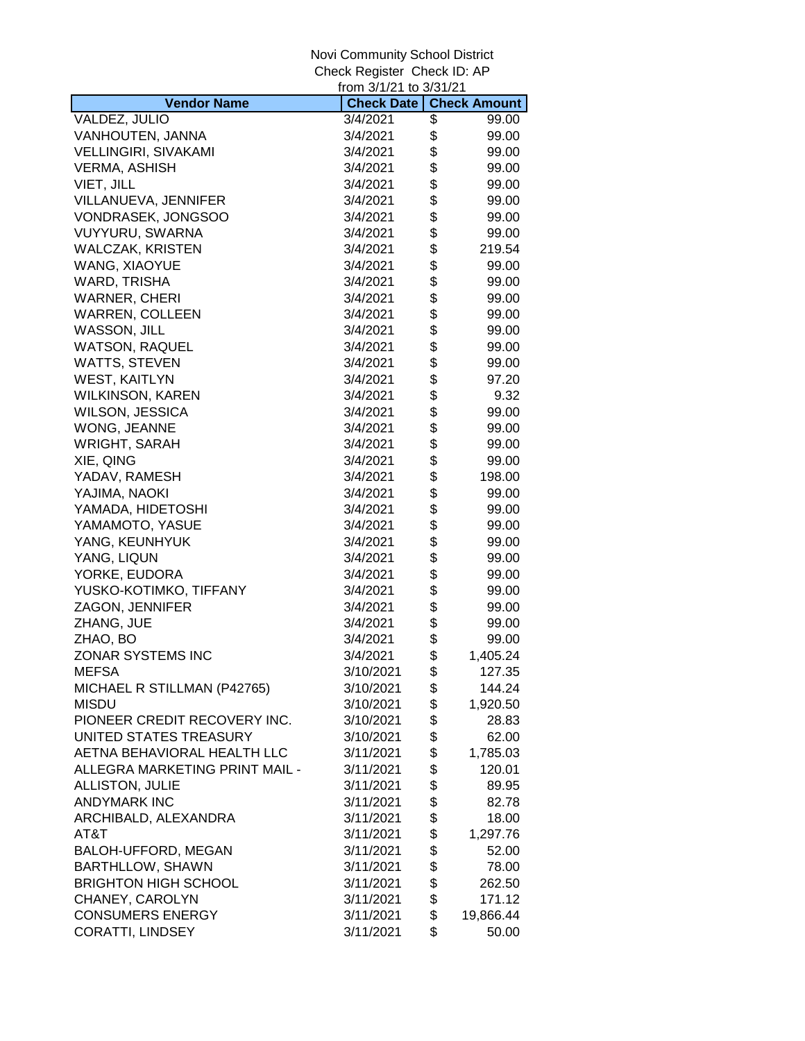| <b>Check Amount</b><br>VALDEZ, JULIO<br>\$<br>3/4/2021<br>99.00<br>\$<br>VANHOUTEN, JANNA<br>3/4/2021<br>99.00<br>\$<br><b>VELLINGIRI, SIVAKAMI</b><br>3/4/2021<br>99.00<br>\$<br><b>VERMA, ASHISH</b><br>3/4/2021<br>99.00<br>\$<br>VIET, JILL<br>3/4/2021<br>99.00<br>\$<br>VILLANUEVA, JENNIFER<br>3/4/2021<br>99.00<br>\$<br>VONDRASEK, JONGSOO<br>3/4/2021<br>99.00<br>\$<br><b>VUYYURU, SWARNA</b><br>3/4/2021<br>99.00<br>\$<br><b>WALCZAK, KRISTEN</b><br>3/4/2021<br>219.54<br>\$<br>WANG, XIAOYUE<br>3/4/2021<br>99.00<br>\$<br>WARD, TRISHA<br>3/4/2021<br>99.00<br>\$<br><b>WARNER, CHERI</b><br>3/4/2021<br>99.00<br>\$<br><b>WARREN, COLLEEN</b><br>3/4/2021<br>99.00<br>\$<br>WASSON, JILL<br>3/4/2021<br>99.00<br>\$<br><b>WATSON, RAQUEL</b><br>3/4/2021<br>99.00<br>\$<br><b>WATTS, STEVEN</b><br>3/4/2021<br>99.00<br>\$<br><b>WEST, KAITLYN</b><br>3/4/2021<br>97.20<br>\$<br><b>WILKINSON, KAREN</b><br>3/4/2021<br>9.32<br>\$<br><b>WILSON, JESSICA</b><br>3/4/2021<br>99.00<br>\$<br>WONG, JEANNE<br>3/4/2021<br>99.00<br>\$<br><b>WRIGHT, SARAH</b><br>3/4/2021<br>99.00<br>\$<br>XIE, QING<br>3/4/2021<br>99.00<br>\$<br>YADAV, RAMESH<br>3/4/2021<br>198.00<br>\$<br>YAJIMA, NAOKI<br>3/4/2021<br>99.00<br>\$<br>3/4/2021<br>YAMADA, HIDETOSHI<br>99.00<br>\$<br>YAMAMOTO, YASUE<br>3/4/2021<br>99.00<br>\$<br>3/4/2021<br>YANG, KEUNHYUK<br>99.00<br>\$<br>YANG, LIQUN<br>3/4/2021<br>99.00<br>\$<br>YORKE, EUDORA<br>3/4/2021<br>99.00<br>\$<br>YUSKO-KOTIMKO, TIFFANY<br>3/4/2021<br>99.00<br>\$<br>ZAGON, JENNIFER<br>3/4/2021<br>99.00<br>\$<br>ZHANG, JUE<br>3/4/2021<br>99.00<br>\$<br>ZHAO, BO<br>3/4/2021<br>99.00<br>\$<br>ZONAR SYSTEMS INC<br>3/4/2021<br>1,405.24<br>\$<br><b>MEFSA</b><br>3/10/2021<br>127.35<br>MICHAEL R STILLMAN (P42765)<br>\$<br>3/10/2021<br>144.24<br>\$<br>1,920.50<br><b>MISDU</b><br>3/10/2021<br>\$<br>PIONEER CREDIT RECOVERY INC.<br>3/10/2021<br>28.83<br>\$<br>UNITED STATES TREASURY<br>3/10/2021<br>62.00<br>\$<br>AETNA BEHAVIORAL HEALTH LLC<br>3/11/2021<br>1,785.03<br>\$<br>ALLEGRA MARKETING PRINT MAIL -<br>3/11/2021<br>120.01<br>\$<br>ALLISTON, JULIE<br>3/11/2021<br>89.95<br>\$<br><b>ANDYMARK INC</b><br>3/11/2021<br>82.78<br>\$<br>ARCHIBALD, ALEXANDRA<br>3/11/2021<br>18.00<br>\$<br>AT&T<br>3/11/2021<br>1,297.76<br>\$<br>BALOH-UFFORD, MEGAN<br>3/11/2021<br>52.00<br>\$<br>BARTHLLOW, SHAWN<br>3/11/2021<br>78.00<br>\$<br><b>BRIGHTON HIGH SCHOOL</b><br>3/11/2021<br>262.50<br>\$<br>CHANEY, CAROLYN<br>3/11/2021<br>171.12<br>\$<br><b>CONSUMERS ENERGY</b><br>3/11/2021<br>19,866.44 |                    | from 3/1/21 to 3/31/21 |             |
|----------------------------------------------------------------------------------------------------------------------------------------------------------------------------------------------------------------------------------------------------------------------------------------------------------------------------------------------------------------------------------------------------------------------------------------------------------------------------------------------------------------------------------------------------------------------------------------------------------------------------------------------------------------------------------------------------------------------------------------------------------------------------------------------------------------------------------------------------------------------------------------------------------------------------------------------------------------------------------------------------------------------------------------------------------------------------------------------------------------------------------------------------------------------------------------------------------------------------------------------------------------------------------------------------------------------------------------------------------------------------------------------------------------------------------------------------------------------------------------------------------------------------------------------------------------------------------------------------------------------------------------------------------------------------------------------------------------------------------------------------------------------------------------------------------------------------------------------------------------------------------------------------------------------------------------------------------------------------------------------------------------------------------------------------------------------------------------------------------------------------------------------------------------------------------------------------------------------------------------------------------------------------------------------------------------------------------------------------------------------------------------------------------------------------------------------------------------------------------------------------------------------------------------------------------------------------------------|--------------------|------------------------|-------------|
|                                                                                                                                                                                                                                                                                                                                                                                                                                                                                                                                                                                                                                                                                                                                                                                                                                                                                                                                                                                                                                                                                                                                                                                                                                                                                                                                                                                                                                                                                                                                                                                                                                                                                                                                                                                                                                                                                                                                                                                                                                                                                                                                                                                                                                                                                                                                                                                                                                                                                                                                                                                        | <b>Vendor Name</b> | <b>Check Date</b>      |             |
|                                                                                                                                                                                                                                                                                                                                                                                                                                                                                                                                                                                                                                                                                                                                                                                                                                                                                                                                                                                                                                                                                                                                                                                                                                                                                                                                                                                                                                                                                                                                                                                                                                                                                                                                                                                                                                                                                                                                                                                                                                                                                                                                                                                                                                                                                                                                                                                                                                                                                                                                                                                        |                    |                        |             |
|                                                                                                                                                                                                                                                                                                                                                                                                                                                                                                                                                                                                                                                                                                                                                                                                                                                                                                                                                                                                                                                                                                                                                                                                                                                                                                                                                                                                                                                                                                                                                                                                                                                                                                                                                                                                                                                                                                                                                                                                                                                                                                                                                                                                                                                                                                                                                                                                                                                                                                                                                                                        |                    |                        |             |
|                                                                                                                                                                                                                                                                                                                                                                                                                                                                                                                                                                                                                                                                                                                                                                                                                                                                                                                                                                                                                                                                                                                                                                                                                                                                                                                                                                                                                                                                                                                                                                                                                                                                                                                                                                                                                                                                                                                                                                                                                                                                                                                                                                                                                                                                                                                                                                                                                                                                                                                                                                                        |                    |                        |             |
|                                                                                                                                                                                                                                                                                                                                                                                                                                                                                                                                                                                                                                                                                                                                                                                                                                                                                                                                                                                                                                                                                                                                                                                                                                                                                                                                                                                                                                                                                                                                                                                                                                                                                                                                                                                                                                                                                                                                                                                                                                                                                                                                                                                                                                                                                                                                                                                                                                                                                                                                                                                        |                    |                        |             |
|                                                                                                                                                                                                                                                                                                                                                                                                                                                                                                                                                                                                                                                                                                                                                                                                                                                                                                                                                                                                                                                                                                                                                                                                                                                                                                                                                                                                                                                                                                                                                                                                                                                                                                                                                                                                                                                                                                                                                                                                                                                                                                                                                                                                                                                                                                                                                                                                                                                                                                                                                                                        |                    |                        |             |
|                                                                                                                                                                                                                                                                                                                                                                                                                                                                                                                                                                                                                                                                                                                                                                                                                                                                                                                                                                                                                                                                                                                                                                                                                                                                                                                                                                                                                                                                                                                                                                                                                                                                                                                                                                                                                                                                                                                                                                                                                                                                                                                                                                                                                                                                                                                                                                                                                                                                                                                                                                                        |                    |                        |             |
|                                                                                                                                                                                                                                                                                                                                                                                                                                                                                                                                                                                                                                                                                                                                                                                                                                                                                                                                                                                                                                                                                                                                                                                                                                                                                                                                                                                                                                                                                                                                                                                                                                                                                                                                                                                                                                                                                                                                                                                                                                                                                                                                                                                                                                                                                                                                                                                                                                                                                                                                                                                        |                    |                        |             |
|                                                                                                                                                                                                                                                                                                                                                                                                                                                                                                                                                                                                                                                                                                                                                                                                                                                                                                                                                                                                                                                                                                                                                                                                                                                                                                                                                                                                                                                                                                                                                                                                                                                                                                                                                                                                                                                                                                                                                                                                                                                                                                                                                                                                                                                                                                                                                                                                                                                                                                                                                                                        |                    |                        |             |
|                                                                                                                                                                                                                                                                                                                                                                                                                                                                                                                                                                                                                                                                                                                                                                                                                                                                                                                                                                                                                                                                                                                                                                                                                                                                                                                                                                                                                                                                                                                                                                                                                                                                                                                                                                                                                                                                                                                                                                                                                                                                                                                                                                                                                                                                                                                                                                                                                                                                                                                                                                                        |                    |                        |             |
|                                                                                                                                                                                                                                                                                                                                                                                                                                                                                                                                                                                                                                                                                                                                                                                                                                                                                                                                                                                                                                                                                                                                                                                                                                                                                                                                                                                                                                                                                                                                                                                                                                                                                                                                                                                                                                                                                                                                                                                                                                                                                                                                                                                                                                                                                                                                                                                                                                                                                                                                                                                        |                    |                        |             |
|                                                                                                                                                                                                                                                                                                                                                                                                                                                                                                                                                                                                                                                                                                                                                                                                                                                                                                                                                                                                                                                                                                                                                                                                                                                                                                                                                                                                                                                                                                                                                                                                                                                                                                                                                                                                                                                                                                                                                                                                                                                                                                                                                                                                                                                                                                                                                                                                                                                                                                                                                                                        |                    |                        |             |
|                                                                                                                                                                                                                                                                                                                                                                                                                                                                                                                                                                                                                                                                                                                                                                                                                                                                                                                                                                                                                                                                                                                                                                                                                                                                                                                                                                                                                                                                                                                                                                                                                                                                                                                                                                                                                                                                                                                                                                                                                                                                                                                                                                                                                                                                                                                                                                                                                                                                                                                                                                                        |                    |                        |             |
|                                                                                                                                                                                                                                                                                                                                                                                                                                                                                                                                                                                                                                                                                                                                                                                                                                                                                                                                                                                                                                                                                                                                                                                                                                                                                                                                                                                                                                                                                                                                                                                                                                                                                                                                                                                                                                                                                                                                                                                                                                                                                                                                                                                                                                                                                                                                                                                                                                                                                                                                                                                        |                    |                        |             |
|                                                                                                                                                                                                                                                                                                                                                                                                                                                                                                                                                                                                                                                                                                                                                                                                                                                                                                                                                                                                                                                                                                                                                                                                                                                                                                                                                                                                                                                                                                                                                                                                                                                                                                                                                                                                                                                                                                                                                                                                                                                                                                                                                                                                                                                                                                                                                                                                                                                                                                                                                                                        |                    |                        |             |
|                                                                                                                                                                                                                                                                                                                                                                                                                                                                                                                                                                                                                                                                                                                                                                                                                                                                                                                                                                                                                                                                                                                                                                                                                                                                                                                                                                                                                                                                                                                                                                                                                                                                                                                                                                                                                                                                                                                                                                                                                                                                                                                                                                                                                                                                                                                                                                                                                                                                                                                                                                                        |                    |                        |             |
|                                                                                                                                                                                                                                                                                                                                                                                                                                                                                                                                                                                                                                                                                                                                                                                                                                                                                                                                                                                                                                                                                                                                                                                                                                                                                                                                                                                                                                                                                                                                                                                                                                                                                                                                                                                                                                                                                                                                                                                                                                                                                                                                                                                                                                                                                                                                                                                                                                                                                                                                                                                        |                    |                        |             |
|                                                                                                                                                                                                                                                                                                                                                                                                                                                                                                                                                                                                                                                                                                                                                                                                                                                                                                                                                                                                                                                                                                                                                                                                                                                                                                                                                                                                                                                                                                                                                                                                                                                                                                                                                                                                                                                                                                                                                                                                                                                                                                                                                                                                                                                                                                                                                                                                                                                                                                                                                                                        |                    |                        |             |
|                                                                                                                                                                                                                                                                                                                                                                                                                                                                                                                                                                                                                                                                                                                                                                                                                                                                                                                                                                                                                                                                                                                                                                                                                                                                                                                                                                                                                                                                                                                                                                                                                                                                                                                                                                                                                                                                                                                                                                                                                                                                                                                                                                                                                                                                                                                                                                                                                                                                                                                                                                                        |                    |                        |             |
|                                                                                                                                                                                                                                                                                                                                                                                                                                                                                                                                                                                                                                                                                                                                                                                                                                                                                                                                                                                                                                                                                                                                                                                                                                                                                                                                                                                                                                                                                                                                                                                                                                                                                                                                                                                                                                                                                                                                                                                                                                                                                                                                                                                                                                                                                                                                                                                                                                                                                                                                                                                        |                    |                        |             |
|                                                                                                                                                                                                                                                                                                                                                                                                                                                                                                                                                                                                                                                                                                                                                                                                                                                                                                                                                                                                                                                                                                                                                                                                                                                                                                                                                                                                                                                                                                                                                                                                                                                                                                                                                                                                                                                                                                                                                                                                                                                                                                                                                                                                                                                                                                                                                                                                                                                                                                                                                                                        |                    |                        |             |
|                                                                                                                                                                                                                                                                                                                                                                                                                                                                                                                                                                                                                                                                                                                                                                                                                                                                                                                                                                                                                                                                                                                                                                                                                                                                                                                                                                                                                                                                                                                                                                                                                                                                                                                                                                                                                                                                                                                                                                                                                                                                                                                                                                                                                                                                                                                                                                                                                                                                                                                                                                                        |                    |                        |             |
|                                                                                                                                                                                                                                                                                                                                                                                                                                                                                                                                                                                                                                                                                                                                                                                                                                                                                                                                                                                                                                                                                                                                                                                                                                                                                                                                                                                                                                                                                                                                                                                                                                                                                                                                                                                                                                                                                                                                                                                                                                                                                                                                                                                                                                                                                                                                                                                                                                                                                                                                                                                        |                    |                        |             |
|                                                                                                                                                                                                                                                                                                                                                                                                                                                                                                                                                                                                                                                                                                                                                                                                                                                                                                                                                                                                                                                                                                                                                                                                                                                                                                                                                                                                                                                                                                                                                                                                                                                                                                                                                                                                                                                                                                                                                                                                                                                                                                                                                                                                                                                                                                                                                                                                                                                                                                                                                                                        |                    |                        |             |
|                                                                                                                                                                                                                                                                                                                                                                                                                                                                                                                                                                                                                                                                                                                                                                                                                                                                                                                                                                                                                                                                                                                                                                                                                                                                                                                                                                                                                                                                                                                                                                                                                                                                                                                                                                                                                                                                                                                                                                                                                                                                                                                                                                                                                                                                                                                                                                                                                                                                                                                                                                                        |                    |                        |             |
|                                                                                                                                                                                                                                                                                                                                                                                                                                                                                                                                                                                                                                                                                                                                                                                                                                                                                                                                                                                                                                                                                                                                                                                                                                                                                                                                                                                                                                                                                                                                                                                                                                                                                                                                                                                                                                                                                                                                                                                                                                                                                                                                                                                                                                                                                                                                                                                                                                                                                                                                                                                        |                    |                        |             |
|                                                                                                                                                                                                                                                                                                                                                                                                                                                                                                                                                                                                                                                                                                                                                                                                                                                                                                                                                                                                                                                                                                                                                                                                                                                                                                                                                                                                                                                                                                                                                                                                                                                                                                                                                                                                                                                                                                                                                                                                                                                                                                                                                                                                                                                                                                                                                                                                                                                                                                                                                                                        |                    |                        |             |
|                                                                                                                                                                                                                                                                                                                                                                                                                                                                                                                                                                                                                                                                                                                                                                                                                                                                                                                                                                                                                                                                                                                                                                                                                                                                                                                                                                                                                                                                                                                                                                                                                                                                                                                                                                                                                                                                                                                                                                                                                                                                                                                                                                                                                                                                                                                                                                                                                                                                                                                                                                                        |                    |                        |             |
|                                                                                                                                                                                                                                                                                                                                                                                                                                                                                                                                                                                                                                                                                                                                                                                                                                                                                                                                                                                                                                                                                                                                                                                                                                                                                                                                                                                                                                                                                                                                                                                                                                                                                                                                                                                                                                                                                                                                                                                                                                                                                                                                                                                                                                                                                                                                                                                                                                                                                                                                                                                        |                    |                        |             |
|                                                                                                                                                                                                                                                                                                                                                                                                                                                                                                                                                                                                                                                                                                                                                                                                                                                                                                                                                                                                                                                                                                                                                                                                                                                                                                                                                                                                                                                                                                                                                                                                                                                                                                                                                                                                                                                                                                                                                                                                                                                                                                                                                                                                                                                                                                                                                                                                                                                                                                                                                                                        |                    |                        |             |
|                                                                                                                                                                                                                                                                                                                                                                                                                                                                                                                                                                                                                                                                                                                                                                                                                                                                                                                                                                                                                                                                                                                                                                                                                                                                                                                                                                                                                                                                                                                                                                                                                                                                                                                                                                                                                                                                                                                                                                                                                                                                                                                                                                                                                                                                                                                                                                                                                                                                                                                                                                                        |                    |                        |             |
|                                                                                                                                                                                                                                                                                                                                                                                                                                                                                                                                                                                                                                                                                                                                                                                                                                                                                                                                                                                                                                                                                                                                                                                                                                                                                                                                                                                                                                                                                                                                                                                                                                                                                                                                                                                                                                                                                                                                                                                                                                                                                                                                                                                                                                                                                                                                                                                                                                                                                                                                                                                        |                    |                        |             |
|                                                                                                                                                                                                                                                                                                                                                                                                                                                                                                                                                                                                                                                                                                                                                                                                                                                                                                                                                                                                                                                                                                                                                                                                                                                                                                                                                                                                                                                                                                                                                                                                                                                                                                                                                                                                                                                                                                                                                                                                                                                                                                                                                                                                                                                                                                                                                                                                                                                                                                                                                                                        |                    |                        |             |
|                                                                                                                                                                                                                                                                                                                                                                                                                                                                                                                                                                                                                                                                                                                                                                                                                                                                                                                                                                                                                                                                                                                                                                                                                                                                                                                                                                                                                                                                                                                                                                                                                                                                                                                                                                                                                                                                                                                                                                                                                                                                                                                                                                                                                                                                                                                                                                                                                                                                                                                                                                                        |                    |                        |             |
|                                                                                                                                                                                                                                                                                                                                                                                                                                                                                                                                                                                                                                                                                                                                                                                                                                                                                                                                                                                                                                                                                                                                                                                                                                                                                                                                                                                                                                                                                                                                                                                                                                                                                                                                                                                                                                                                                                                                                                                                                                                                                                                                                                                                                                                                                                                                                                                                                                                                                                                                                                                        |                    |                        |             |
|                                                                                                                                                                                                                                                                                                                                                                                                                                                                                                                                                                                                                                                                                                                                                                                                                                                                                                                                                                                                                                                                                                                                                                                                                                                                                                                                                                                                                                                                                                                                                                                                                                                                                                                                                                                                                                                                                                                                                                                                                                                                                                                                                                                                                                                                                                                                                                                                                                                                                                                                                                                        |                    |                        |             |
|                                                                                                                                                                                                                                                                                                                                                                                                                                                                                                                                                                                                                                                                                                                                                                                                                                                                                                                                                                                                                                                                                                                                                                                                                                                                                                                                                                                                                                                                                                                                                                                                                                                                                                                                                                                                                                                                                                                                                                                                                                                                                                                                                                                                                                                                                                                                                                                                                                                                                                                                                                                        |                    |                        |             |
|                                                                                                                                                                                                                                                                                                                                                                                                                                                                                                                                                                                                                                                                                                                                                                                                                                                                                                                                                                                                                                                                                                                                                                                                                                                                                                                                                                                                                                                                                                                                                                                                                                                                                                                                                                                                                                                                                                                                                                                                                                                                                                                                                                                                                                                                                                                                                                                                                                                                                                                                                                                        |                    |                        |             |
|                                                                                                                                                                                                                                                                                                                                                                                                                                                                                                                                                                                                                                                                                                                                                                                                                                                                                                                                                                                                                                                                                                                                                                                                                                                                                                                                                                                                                                                                                                                                                                                                                                                                                                                                                                                                                                                                                                                                                                                                                                                                                                                                                                                                                                                                                                                                                                                                                                                                                                                                                                                        |                    |                        |             |
|                                                                                                                                                                                                                                                                                                                                                                                                                                                                                                                                                                                                                                                                                                                                                                                                                                                                                                                                                                                                                                                                                                                                                                                                                                                                                                                                                                                                                                                                                                                                                                                                                                                                                                                                                                                                                                                                                                                                                                                                                                                                                                                                                                                                                                                                                                                                                                                                                                                                                                                                                                                        |                    |                        |             |
|                                                                                                                                                                                                                                                                                                                                                                                                                                                                                                                                                                                                                                                                                                                                                                                                                                                                                                                                                                                                                                                                                                                                                                                                                                                                                                                                                                                                                                                                                                                                                                                                                                                                                                                                                                                                                                                                                                                                                                                                                                                                                                                                                                                                                                                                                                                                                                                                                                                                                                                                                                                        |                    |                        |             |
|                                                                                                                                                                                                                                                                                                                                                                                                                                                                                                                                                                                                                                                                                                                                                                                                                                                                                                                                                                                                                                                                                                                                                                                                                                                                                                                                                                                                                                                                                                                                                                                                                                                                                                                                                                                                                                                                                                                                                                                                                                                                                                                                                                                                                                                                                                                                                                                                                                                                                                                                                                                        |                    |                        |             |
|                                                                                                                                                                                                                                                                                                                                                                                                                                                                                                                                                                                                                                                                                                                                                                                                                                                                                                                                                                                                                                                                                                                                                                                                                                                                                                                                                                                                                                                                                                                                                                                                                                                                                                                                                                                                                                                                                                                                                                                                                                                                                                                                                                                                                                                                                                                                                                                                                                                                                                                                                                                        |                    |                        |             |
|                                                                                                                                                                                                                                                                                                                                                                                                                                                                                                                                                                                                                                                                                                                                                                                                                                                                                                                                                                                                                                                                                                                                                                                                                                                                                                                                                                                                                                                                                                                                                                                                                                                                                                                                                                                                                                                                                                                                                                                                                                                                                                                                                                                                                                                                                                                                                                                                                                                                                                                                                                                        |                    |                        |             |
|                                                                                                                                                                                                                                                                                                                                                                                                                                                                                                                                                                                                                                                                                                                                                                                                                                                                                                                                                                                                                                                                                                                                                                                                                                                                                                                                                                                                                                                                                                                                                                                                                                                                                                                                                                                                                                                                                                                                                                                                                                                                                                                                                                                                                                                                                                                                                                                                                                                                                                                                                                                        |                    |                        |             |
|                                                                                                                                                                                                                                                                                                                                                                                                                                                                                                                                                                                                                                                                                                                                                                                                                                                                                                                                                                                                                                                                                                                                                                                                                                                                                                                                                                                                                                                                                                                                                                                                                                                                                                                                                                                                                                                                                                                                                                                                                                                                                                                                                                                                                                                                                                                                                                                                                                                                                                                                                                                        |                    |                        |             |
|                                                                                                                                                                                                                                                                                                                                                                                                                                                                                                                                                                                                                                                                                                                                                                                                                                                                                                                                                                                                                                                                                                                                                                                                                                                                                                                                                                                                                                                                                                                                                                                                                                                                                                                                                                                                                                                                                                                                                                                                                                                                                                                                                                                                                                                                                                                                                                                                                                                                                                                                                                                        |                    |                        |             |
|                                                                                                                                                                                                                                                                                                                                                                                                                                                                                                                                                                                                                                                                                                                                                                                                                                                                                                                                                                                                                                                                                                                                                                                                                                                                                                                                                                                                                                                                                                                                                                                                                                                                                                                                                                                                                                                                                                                                                                                                                                                                                                                                                                                                                                                                                                                                                                                                                                                                                                                                                                                        |                    |                        |             |
|                                                                                                                                                                                                                                                                                                                                                                                                                                                                                                                                                                                                                                                                                                                                                                                                                                                                                                                                                                                                                                                                                                                                                                                                                                                                                                                                                                                                                                                                                                                                                                                                                                                                                                                                                                                                                                                                                                                                                                                                                                                                                                                                                                                                                                                                                                                                                                                                                                                                                                                                                                                        |                    |                        |             |
|                                                                                                                                                                                                                                                                                                                                                                                                                                                                                                                                                                                                                                                                                                                                                                                                                                                                                                                                                                                                                                                                                                                                                                                                                                                                                                                                                                                                                                                                                                                                                                                                                                                                                                                                                                                                                                                                                                                                                                                                                                                                                                                                                                                                                                                                                                                                                                                                                                                                                                                                                                                        |                    |                        |             |
|                                                                                                                                                                                                                                                                                                                                                                                                                                                                                                                                                                                                                                                                                                                                                                                                                                                                                                                                                                                                                                                                                                                                                                                                                                                                                                                                                                                                                                                                                                                                                                                                                                                                                                                                                                                                                                                                                                                                                                                                                                                                                                                                                                                                                                                                                                                                                                                                                                                                                                                                                                                        |                    |                        |             |
|                                                                                                                                                                                                                                                                                                                                                                                                                                                                                                                                                                                                                                                                                                                                                                                                                                                                                                                                                                                                                                                                                                                                                                                                                                                                                                                                                                                                                                                                                                                                                                                                                                                                                                                                                                                                                                                                                                                                                                                                                                                                                                                                                                                                                                                                                                                                                                                                                                                                                                                                                                                        | CORATTI, LINDSEY   | 3/11/2021              | \$<br>50.00 |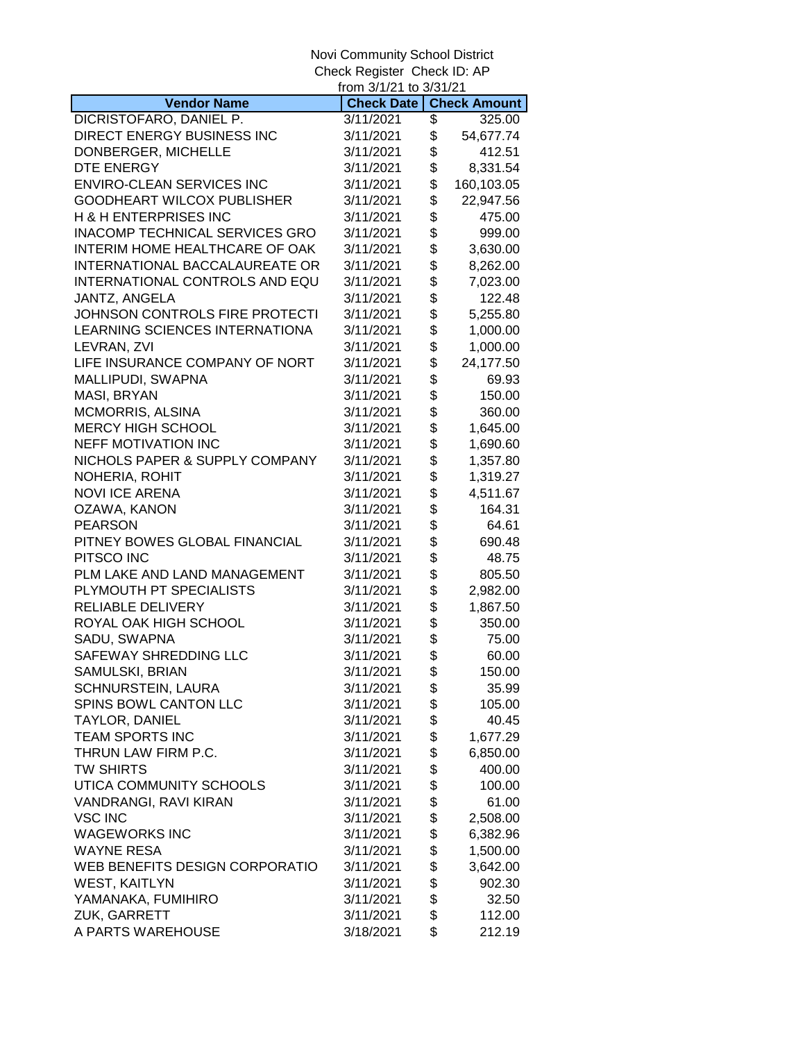|                                   | from 3/1/21 to 3/31/21 |                     |
|-----------------------------------|------------------------|---------------------|
| <b>Vendor Name</b>                | <b>Check Date</b>      | <b>Check Amount</b> |
| DICRISTOFARO, DANIEL P.           | 3/11/2021              | \$<br>325.00        |
| DIRECT ENERGY BUSINESS INC        | 3/11/2021              | \$<br>54,677.74     |
| DONBERGER, MICHELLE               | 3/11/2021              | \$<br>412.51        |
| DTE ENERGY                        | 3/11/2021              | \$<br>8,331.54      |
| ENVIRO-CLEAN SERVICES INC         | 3/11/2021              | \$<br>160,103.05    |
| <b>GOODHEART WILCOX PUBLISHER</b> | 3/11/2021              | \$<br>22,947.56     |
| <b>H &amp; H ENTERPRISES INC</b>  | 3/11/2021              | \$<br>475.00        |
| INACOMP TECHNICAL SERVICES GRO    | 3/11/2021              | \$<br>999.00        |
| INTERIM HOME HEALTHCARE OF OAK    | 3/11/2021              | \$<br>3,630.00      |
| INTERNATIONAL BACCALAUREATE OR    | 3/11/2021              | \$<br>8,262.00      |
| INTERNATIONAL CONTROLS AND EQU    | 3/11/2021              | \$<br>7,023.00      |
| JANTZ, ANGELA                     | 3/11/2021              | \$<br>122.48        |
| JOHNSON CONTROLS FIRE PROTECTI    | 3/11/2021              | \$<br>5,255.80      |
| LEARNING SCIENCES INTERNATIONA    | 3/11/2021              | \$<br>1,000.00      |
| LEVRAN, ZVI                       | 3/11/2021              | \$<br>1,000.00      |
| LIFE INSURANCE COMPANY OF NORT    | 3/11/2021              | \$<br>24,177.50     |
| MALLIPUDI, SWAPNA                 | 3/11/2021              | \$<br>69.93         |
| MASI, BRYAN                       | 3/11/2021              | \$<br>150.00        |
| <b>MCMORRIS, ALSINA</b>           | 3/11/2021              | \$<br>360.00        |
| <b>MERCY HIGH SCHOOL</b>          | 3/11/2021              | \$<br>1,645.00      |
|                                   |                        | \$                  |
| <b>NEFF MOTIVATION INC</b>        | 3/11/2021              | 1,690.60            |
| NICHOLS PAPER & SUPPLY COMPANY    | 3/11/2021              | \$<br>1,357.80      |
| NOHERIA, ROHIT                    | 3/11/2021              | \$<br>1,319.27      |
| <b>NOVI ICE ARENA</b>             | 3/11/2021              | \$<br>4,511.67      |
| OZAWA, KANON                      | 3/11/2021              | \$<br>164.31        |
| <b>PEARSON</b>                    | 3/11/2021              | \$<br>64.61         |
| PITNEY BOWES GLOBAL FINANCIAL     | 3/11/2021              | \$<br>690.48        |
| PITSCO INC                        | 3/11/2021              | \$<br>48.75         |
| PLM LAKE AND LAND MANAGEMENT      | 3/11/2021              | \$<br>805.50        |
| PLYMOUTH PT SPECIALISTS           | 3/11/2021              | \$<br>2,982.00      |
| <b>RELIABLE DELIVERY</b>          | 3/11/2021              | \$<br>1,867.50      |
| ROYAL OAK HIGH SCHOOL             | 3/11/2021              | \$<br>350.00        |
| SADU, SWAPNA                      | 3/11/2021              | \$<br>75.00         |
| SAFEWAY SHREDDING LLC             | 3/11/2021              | \$<br>60.00         |
| SAMULSKI, BRIAN                   | 3/11/2021              | \$<br>150.00        |
| SCHNURSTEIN, LAURA                | 3/11/2021              | \$<br>35.99         |
| SPINS BOWL CANTON LLC             | 3/11/2021              | \$<br>105.00        |
| TAYLOR, DANIEL                    | 3/11/2021              | \$<br>40.45         |
| TEAM SPORTS INC                   | 3/11/2021              | \$<br>1,677.29      |
| THRUN LAW FIRM P.C.               | 3/11/2021              | \$<br>6,850.00      |
| <b>TW SHIRTS</b>                  | 3/11/2021              | \$<br>400.00        |
| UTICA COMMUNITY SCHOOLS           | 3/11/2021              | \$<br>100.00        |
| VANDRANGI, RAVI KIRAN             | 3/11/2021              | \$<br>61.00         |
| <b>VSC INC</b>                    | 3/11/2021              | \$<br>2,508.00      |
| <b>WAGEWORKS INC</b>              | 3/11/2021              | \$<br>6,382.96      |
| <b>WAYNE RESA</b>                 | 3/11/2021              | \$<br>1,500.00      |
| WEB BENEFITS DESIGN CORPORATIO    | 3/11/2021              | \$<br>3,642.00      |
| <b>WEST, KAITLYN</b>              | 3/11/2021              | \$<br>902.30        |
| YAMANAKA, FUMIHIRO                | 3/11/2021              | \$<br>32.50         |
| ZUK, GARRETT                      | 3/11/2021              | \$<br>112.00        |
| A PARTS WAREHOUSE                 | 3/18/2021              | \$<br>212.19        |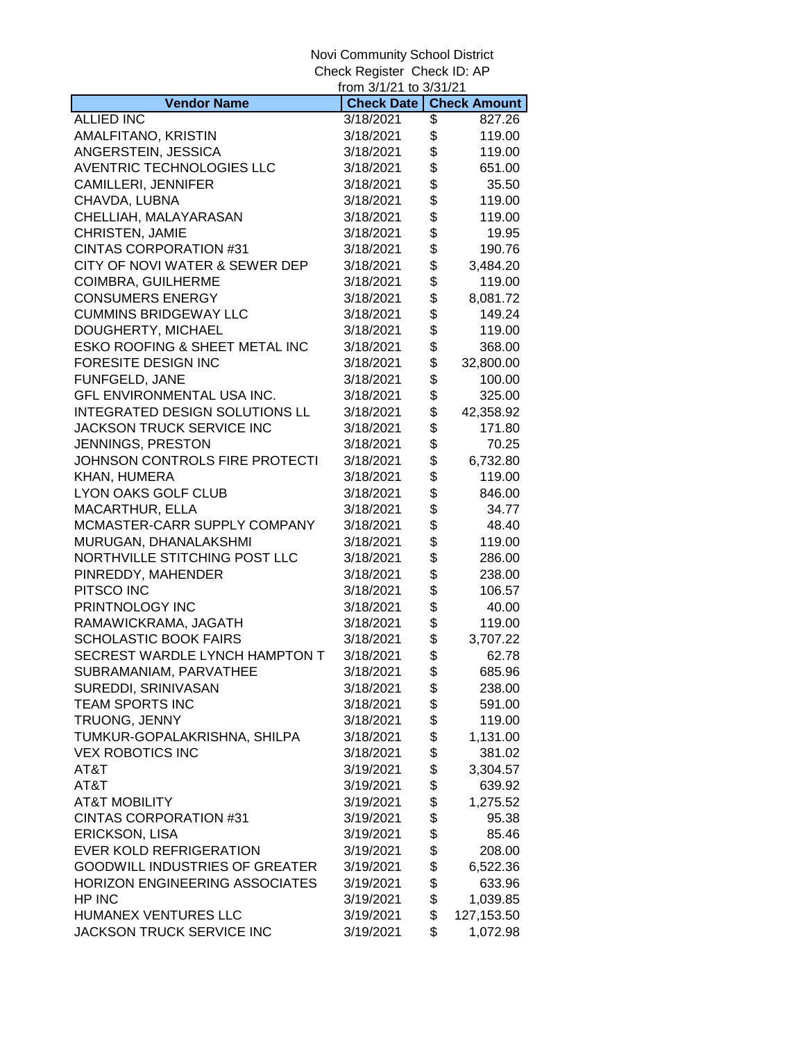|                                       | from 3/1/21 to 3/31/21 |    |                     |  |
|---------------------------------------|------------------------|----|---------------------|--|
| <b>Vendor Name</b>                    | <b>Check Date</b>      |    | <b>Check Amount</b> |  |
| <b>ALLIED INC</b>                     | 3/18/2021              | \$ | 827.26              |  |
| AMALFITANO, KRISTIN                   | 3/18/2021              | \$ | 119.00              |  |
| ANGERSTEIN, JESSICA                   | 3/18/2021              | \$ | 119.00              |  |
| AVENTRIC TECHNOLOGIES LLC             | 3/18/2021              | \$ | 651.00              |  |
| CAMILLERI, JENNIFER                   | 3/18/2021              | \$ | 35.50               |  |
| CHAVDA, LUBNA                         | 3/18/2021              | \$ | 119.00              |  |
| CHELLIAH, MALAYARASAN                 | 3/18/2021              | \$ | 119.00              |  |
| CHRISTEN, JAMIE                       | 3/18/2021              | \$ | 19.95               |  |
| <b>CINTAS CORPORATION #31</b>         | 3/18/2021              | \$ | 190.76              |  |
| CITY OF NOVI WATER & SEWER DEP        | 3/18/2021              | \$ | 3,484.20            |  |
| COIMBRA, GUILHERME                    | 3/18/2021              | \$ | 119.00              |  |
| <b>CONSUMERS ENERGY</b>               | 3/18/2021              | \$ | 8,081.72            |  |
| <b>CUMMINS BRIDGEWAY LLC</b>          | 3/18/2021              | \$ | 149.24              |  |
| DOUGHERTY, MICHAEL                    | 3/18/2021              | \$ | 119.00              |  |
| ESKO ROOFING & SHEET METAL INC        | 3/18/2021              | \$ | 368.00              |  |
| FORESITE DESIGN INC                   | 3/18/2021              | \$ | 32,800.00           |  |
| FUNFGELD, JANE                        | 3/18/2021              | \$ | 100.00              |  |
| GFL ENVIRONMENTAL USA INC.            | 3/18/2021              | \$ | 325.00              |  |
| <b>INTEGRATED DESIGN SOLUTIONS LL</b> | 3/18/2021              | \$ | 42,358.92           |  |
| JACKSON TRUCK SERVICE INC             | 3/18/2021              | \$ | 171.80              |  |
| <b>JENNINGS, PRESTON</b>              | 3/18/2021              | \$ | 70.25               |  |
| JOHNSON CONTROLS FIRE PROTECTI        | 3/18/2021              | \$ | 6,732.80            |  |
| KHAN, HUMERA                          | 3/18/2021              | \$ | 119.00              |  |
| LYON OAKS GOLF CLUB                   | 3/18/2021              | \$ | 846.00              |  |
| MACARTHUR, ELLA                       | 3/18/2021              | \$ | 34.77               |  |
| MCMASTER-CARR SUPPLY COMPANY          | 3/18/2021              | \$ | 48.40               |  |
| MURUGAN, DHANALAKSHMI                 | 3/18/2021              | \$ | 119.00              |  |
| NORTHVILLE STITCHING POST LLC         | 3/18/2021              | \$ | 286.00              |  |
| PINREDDY, MAHENDER                    | 3/18/2021              | \$ | 238.00              |  |
| PITSCO INC                            | 3/18/2021              | \$ | 106.57              |  |
| PRINTNOLOGY INC                       | 3/18/2021              | \$ | 40.00               |  |
| RAMAWICKRAMA, JAGATH                  | 3/18/2021              | \$ | 119.00              |  |
| <b>SCHOLASTIC BOOK FAIRS</b>          | 3/18/2021              | \$ | 3,707.22            |  |
| SECREST WARDLE LYNCH HAMPTON T        | 3/18/2021              | \$ | 62.78               |  |
| SUBRAMANIAM, PARVATHEE                | 3/18/2021              | \$ | 685.96              |  |
| SUREDDI, SRINIVASAN                   | 3/18/2021              | \$ | 238.00              |  |
| <b>TEAM SPORTS INC</b>                | 3/18/2021              | \$ | 591.00              |  |
| TRUONG, JENNY                         | 3/18/2021              | \$ | 119.00              |  |
| TUMKUR-GOPALAKRISHNA, SHILPA          | 3/18/2021              | \$ | 1,131.00            |  |
| <b>VEX ROBOTICS INC</b>               | 3/18/2021              | \$ | 381.02              |  |
| AT&T                                  | 3/19/2021              | \$ | 3,304.57            |  |
| AT&T                                  | 3/19/2021              | \$ | 639.92              |  |
| <b>AT&amp;T MOBILITY</b>              | 3/19/2021              | \$ | 1,275.52            |  |
| <b>CINTAS CORPORATION #31</b>         | 3/19/2021              | \$ | 95.38               |  |
| <b>ERICKSON, LISA</b>                 | 3/19/2021              | \$ | 85.46               |  |
| EVER KOLD REFRIGERATION               | 3/19/2021              | \$ | 208.00              |  |
| <b>GOODWILL INDUSTRIES OF GREATER</b> |                        | \$ |                     |  |
| HORIZON ENGINEERING ASSOCIATES        | 3/19/2021              | \$ | 6,522.36            |  |
|                                       | 3/19/2021              |    | 633.96              |  |
| HP INC<br>HUMANEX VENTURES LLC        | 3/19/2021              | \$ | 1,039.85            |  |
|                                       | 3/19/2021              | \$ | 127,153.50          |  |
| JACKSON TRUCK SERVICE INC             | 3/19/2021              | \$ | 1,072.98            |  |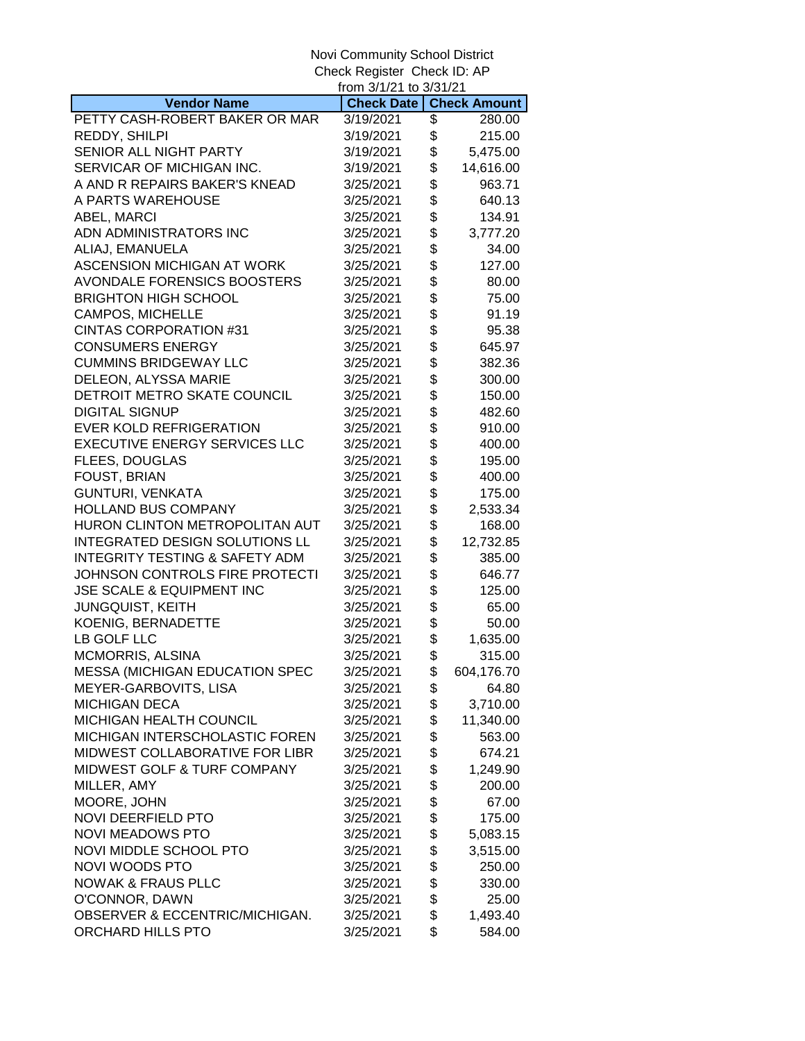|                                       | from 3/1/21 to 3/31/21 |    |                     |  |
|---------------------------------------|------------------------|----|---------------------|--|
| <b>Vendor Name</b>                    | <b>Check Date</b>      |    | <b>Check Amount</b> |  |
| PETTY CASH-ROBERT BAKER OR MAR        | 3/19/2021              | \$ | 280.00              |  |
| REDDY, SHILPI                         | 3/19/2021              | \$ | 215.00              |  |
| SENIOR ALL NIGHT PARTY                | 3/19/2021              | \$ | 5,475.00            |  |
| SERVICAR OF MICHIGAN INC.             | 3/19/2021              | \$ | 14,616.00           |  |
| A AND R REPAIRS BAKER'S KNEAD         | 3/25/2021              | \$ | 963.71              |  |
| A PARTS WAREHOUSE                     | 3/25/2021              | \$ | 640.13              |  |
| ABEL, MARCI                           | 3/25/2021              | \$ | 134.91              |  |
| ADN ADMINISTRATORS INC                | 3/25/2021              | \$ | 3,777.20            |  |
| ALIAJ, EMANUELA                       | 3/25/2021              | \$ | 34.00               |  |
| <b>ASCENSION MICHIGAN AT WORK</b>     | 3/25/2021              | \$ | 127.00              |  |
| AVONDALE FORENSICS BOOSTERS           | 3/25/2021              | \$ | 80.00               |  |
| <b>BRIGHTON HIGH SCHOOL</b>           | 3/25/2021              | \$ | 75.00               |  |
| CAMPOS, MICHELLE                      | 3/25/2021              | \$ | 91.19               |  |
| <b>CINTAS CORPORATION #31</b>         | 3/25/2021              | \$ | 95.38               |  |
| <b>CONSUMERS ENERGY</b>               | 3/25/2021              | \$ | 645.97              |  |
| <b>CUMMINS BRIDGEWAY LLC</b>          | 3/25/2021              | \$ | 382.36              |  |
| DELEON, ALYSSA MARIE                  | 3/25/2021              | \$ | 300.00              |  |
| DETROIT METRO SKATE COUNCIL           | 3/25/2021              | \$ | 150.00              |  |
| <b>DIGITAL SIGNUP</b>                 | 3/25/2021              | \$ | 482.60              |  |
| <b>EVER KOLD REFRIGERATION</b>        | 3/25/2021              | \$ | 910.00              |  |
| <b>EXECUTIVE ENERGY SERVICES LLC</b>  | 3/25/2021              | \$ | 400.00              |  |
| FLEES, DOUGLAS                        | 3/25/2021              | \$ | 195.00              |  |
| <b>FOUST, BRIAN</b>                   | 3/25/2021              | \$ | 400.00              |  |
| <b>GUNTURI, VENKATA</b>               | 3/25/2021              | \$ | 175.00              |  |
| <b>HOLLAND BUS COMPANY</b>            | 3/25/2021              | \$ | 2,533.34            |  |
| HURON CLINTON METROPOLITAN AUT        | 3/25/2021              | \$ | 168.00              |  |
| <b>INTEGRATED DESIGN SOLUTIONS LL</b> | 3/25/2021              | \$ | 12,732.85           |  |
| INTEGRITY TESTING & SAFETY ADM        | 3/25/2021              | \$ | 385.00              |  |
| JOHNSON CONTROLS FIRE PROTECTI        | 3/25/2021              | \$ | 646.77              |  |
| JSE SCALE & EQUIPMENT INC             | 3/25/2021              | \$ | 125.00              |  |
| <b>JUNGQUIST, KEITH</b>               | 3/25/2021              | \$ | 65.00               |  |
| KOENIG, BERNADETTE                    | 3/25/2021              | \$ | 50.00               |  |
| LB GOLF LLC                           | 3/25/2021              | \$ | 1,635.00            |  |
| MCMORRIS, ALSINA                      | 3/25/2021              | \$ | 315.00              |  |
| MESSA (MICHIGAN EDUCATION SPEC        | 3/25/2021              | \$ | 604,176.70          |  |
| MEYER-GARBOVITS, LISA                 | 3/25/2021              | \$ | 64.80               |  |
| <b>MICHIGAN DECA</b>                  | 3/25/2021              | \$ | 3,710.00            |  |
| MICHIGAN HEALTH COUNCIL               | 3/25/2021              | \$ | 11,340.00           |  |
| MICHIGAN INTERSCHOLASTIC FOREN        | 3/25/2021              | \$ | 563.00              |  |
| MIDWEST COLLABORATIVE FOR LIBR        | 3/25/2021              | \$ | 674.21              |  |
| MIDWEST GOLF & TURF COMPANY           | 3/25/2021              | \$ | 1,249.90            |  |
| MILLER, AMY                           | 3/25/2021              | \$ | 200.00              |  |
| MOORE, JOHN                           | 3/25/2021              | \$ | 67.00               |  |
| <b>NOVI DEERFIELD PTO</b>             | 3/25/2021              | \$ | 175.00              |  |
| <b>NOVI MEADOWS PTO</b>               | 3/25/2021              | \$ | 5,083.15            |  |
| NOVI MIDDLE SCHOOL PTO                | 3/25/2021              | \$ | 3,515.00            |  |
| NOVI WOODS PTO                        | 3/25/2021              | \$ | 250.00              |  |
| <b>NOWAK &amp; FRAUS PLLC</b>         | 3/25/2021              | \$ | 330.00              |  |
| O'CONNOR, DAWN                        | 3/25/2021              | \$ | 25.00               |  |
| OBSERVER & ECCENTRIC/MICHIGAN.        | 3/25/2021              | \$ | 1,493.40            |  |
| ORCHARD HILLS PTO                     | 3/25/2021              | \$ | 584.00              |  |